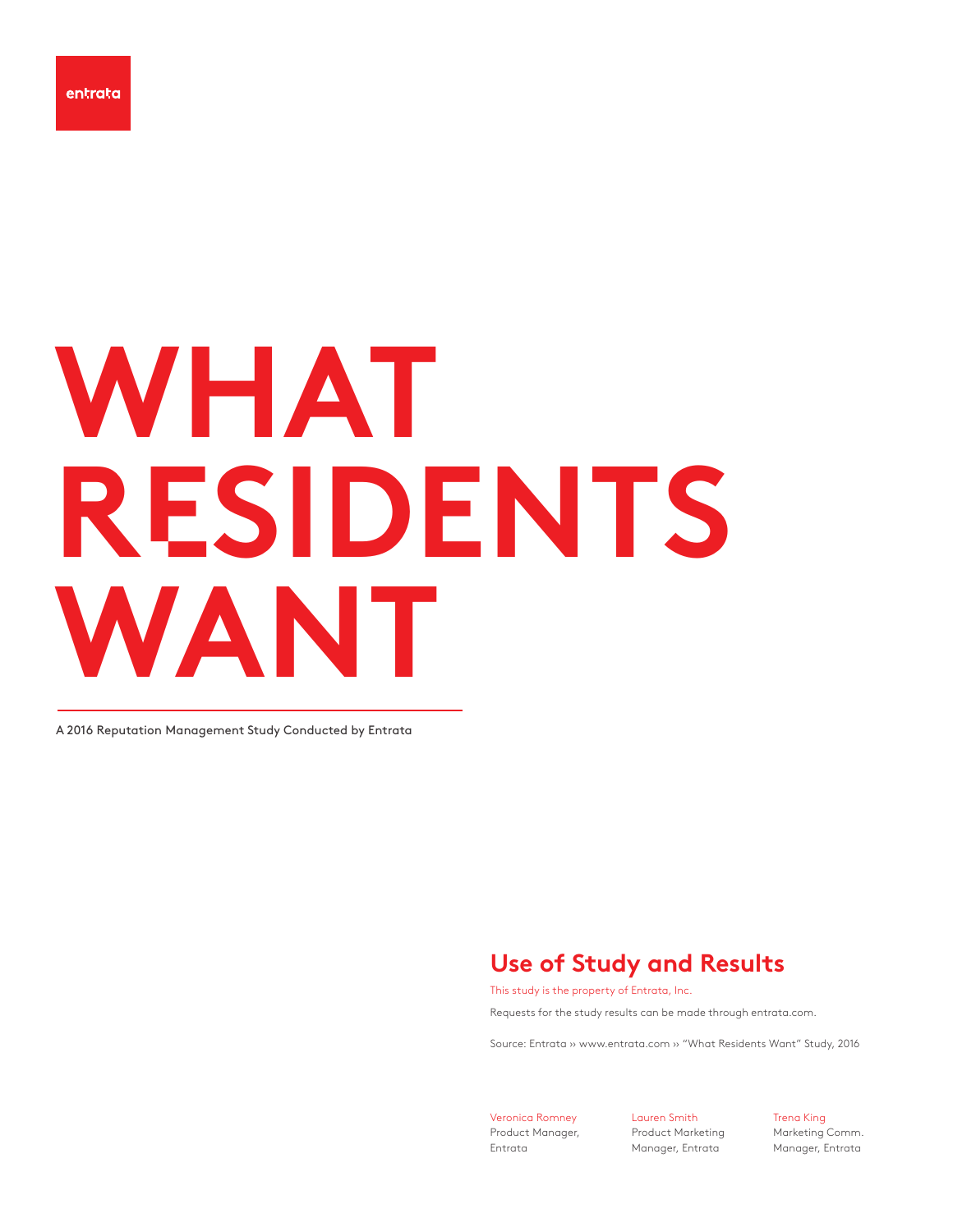# **WHAT R**E**SIDENTS WANT**

A 2016 Reputation Management Study Conducted by Entrata

## **Use of Study and Results**

This study is the property of Entrata, Inc.

Requests for the study results can be made through entrata.com.

Source: Entrata ›› www.entrata.com ›› "What Residents Want" Study, 2016

Veronica Romney Product Manager, Entrata

Lauren Smith Product Marketing Manager, Entrata

Trena King

Marketing Comm. Manager, Entrata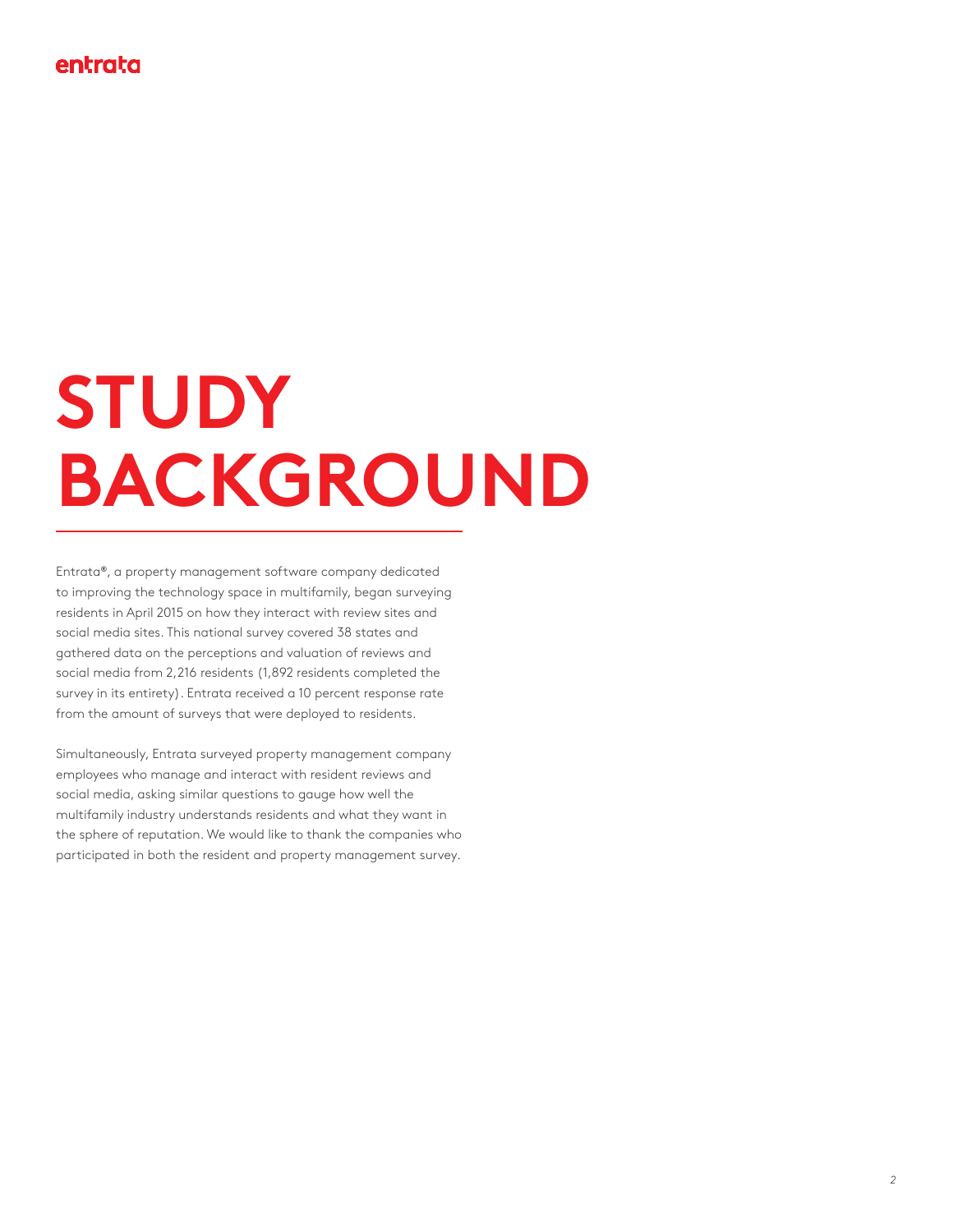## **STUDY BACKGROUND**

Entrata**®**, a property management software company dedicated to improving the technology space in multifamily, began surveying residents in April 2015 on how they interact with review sites and social media sites. This national survey covered 38 states and gathered data on the perceptions and valuation of reviews and social media from 2,216 residents (1,892 residents completed the survey in its entirety). Entrata received a 10 percent response rate from the amount of surveys that were deployed to residents.

Simultaneously, Entrata surveyed property management company employees who manage and interact with resident reviews and social media, asking similar questions to gauge how well the multifamily industry understands residents and what they want in the sphere of reputation. We would like to thank the companies who participated in both the resident and property management survey.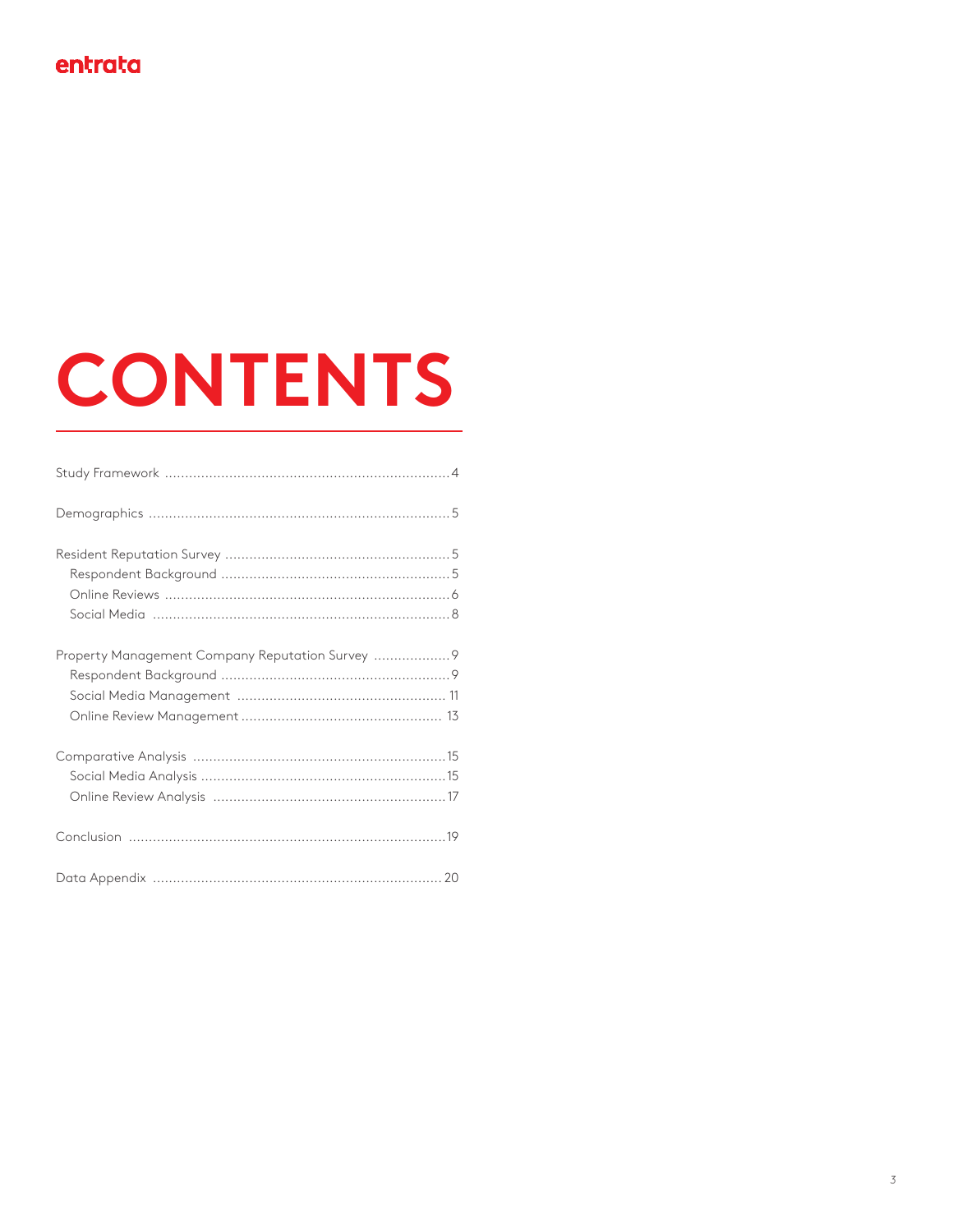## **CONTENTS**

| Property Management Company Reputation Survey  9 |  |
|--------------------------------------------------|--|
|                                                  |  |
|                                                  |  |
|                                                  |  |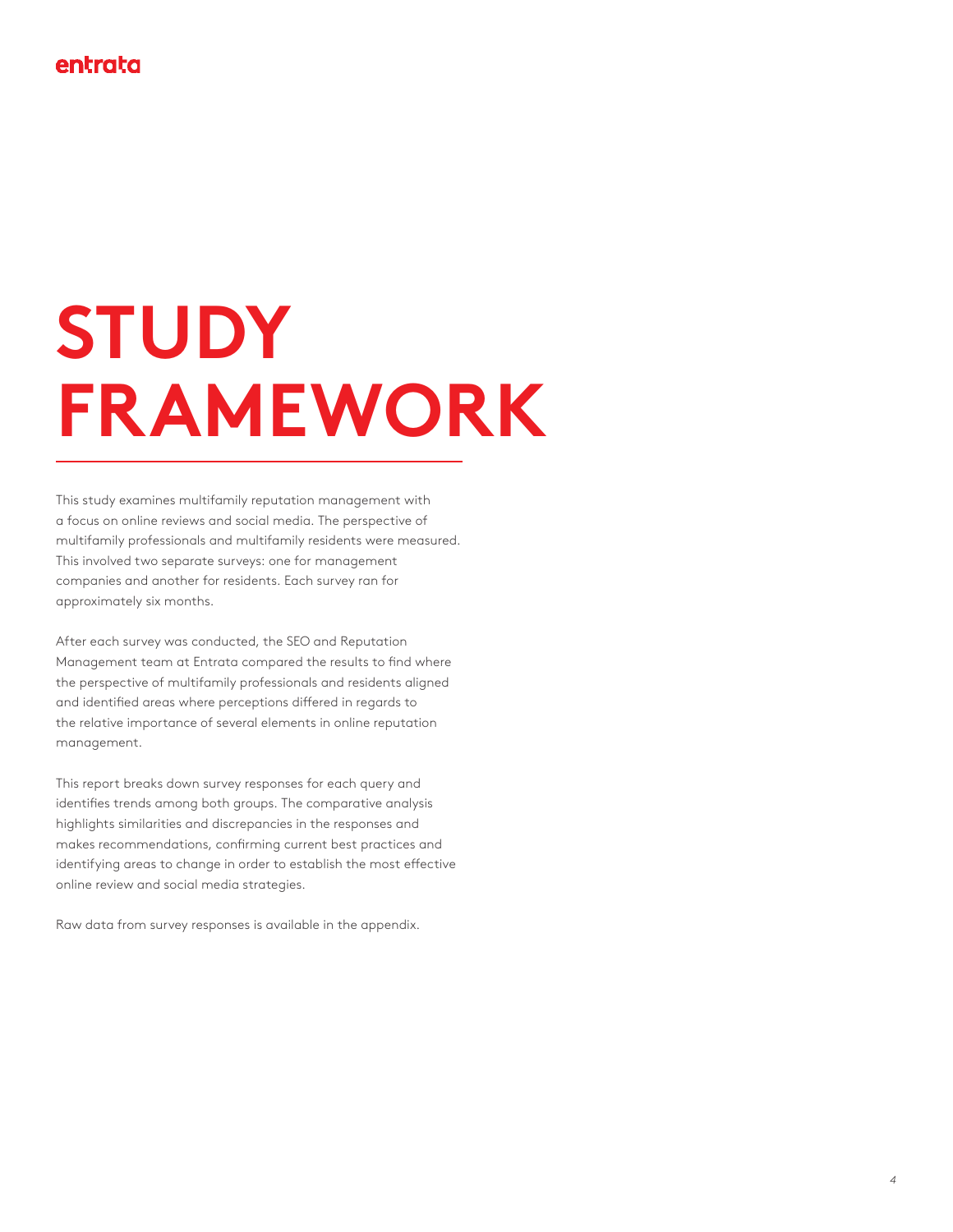## **STUDY FRAMEWORK**

This study examines multifamily reputation management with a focus on online reviews and social media. The perspective of multifamily professionals and multifamily residents were measured. This involved two separate surveys: one for management companies and another for residents. Each survey ran for approximately six months.

After each survey was conducted, the SEO and Reputation Management team at Entrata compared the results to find where the perspective of multifamily professionals and residents aligned and identified areas where perceptions differed in regards to the relative importance of several elements in online reputation management.

This report breaks down survey responses for each query and identifies trends among both groups. The comparative analysis highlights similarities and discrepancies in the responses and makes recommendations, confirming current best practices and identifying areas to change in order to establish the most effective online review and social media strategies.

Raw data from survey responses is available in the appendix.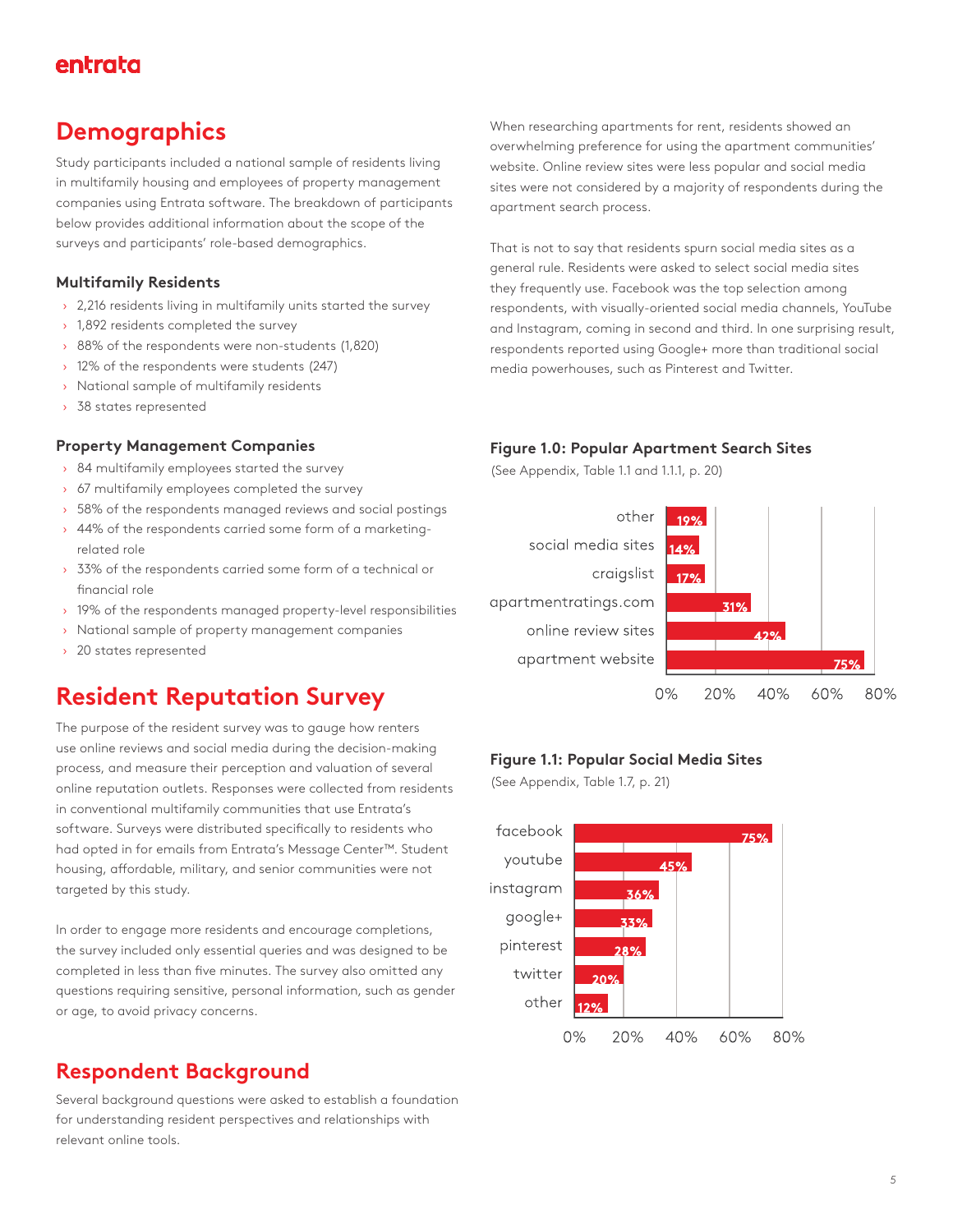## **Demographics**

Study participants included a national sample of residents living in multifamily housing and employees of property management companies using Entrata software. The breakdown of participants below provides additional information about the scope of the surveys and participants' role-based demographics.

#### **Multifamily Residents**

- › 2,216 residents living in multifamily units started the survey
- › 1,892 residents completed the survey
- › 88% of the respondents were non-students (1,820)
- › 12% of the respondents were students (247)
- › National sample of multifamily residents
- › 38 states represented

#### **Property Management Companies**

- › 84 multifamily employees started the survey
- › 67 multifamily employees completed the survey
- > 58% of the respondents managed reviews and social postings
- › 44% of the respondents carried some form of a marketingrelated role
- › 33% of the respondents carried some form of a technical or financial role
- › 19% of the respondents managed property-level responsibilities
- › National sample of property management companies
- › 20 states represented

## **Resident Reputation Survey**

The purpose of the resident survey was to gauge how renters use online reviews and social media during the decision-making process, and measure their perception and valuation of several online reputation outlets. Responses were collected from residents in conventional multifamily communities that use Entrata's software. Surveys were distributed specifically to residents who had opted in for emails from Entrata's Message Center™. Student housing, affordable, military, and senior communities were not targeted by this study.

In order to engage more residents and encourage completions, the survey included only essential queries and was designed to be completed in less than five minutes. The survey also omitted any questions requiring sensitive, personal information, such as gender or age, to avoid privacy concerns.

## **Respondent Background**

Several background questions were asked to establish a foundation for understanding resident perspectives and relationships with relevant online tools.

When researching apartments for rent, residents showed an overwhelming preference for using the apartment communities' website. Online review sites were less popular and social media sites were not considered by a majority of respondents during the apartment search process.

That is not to say that residents spurn social media sites as a general rule. Residents were asked to select social media sites they frequently use. Facebook was the top selection among respondents, with visually-oriented social media channels, YouTube and Instagram, coming in second and third. In one surprising result, respondents reported using Google+ more than traditional social media powerhouses, such as Pinterest and Twitter.

#### **Figure 1.0: Popular Apartment Search Sites**

(See Appendix, Table 1.1 and 1.1.1, p. 20)



#### **Figure 1.1: Popular Social Media Sites**

(See Appendix, Table 1.7, p. 21)

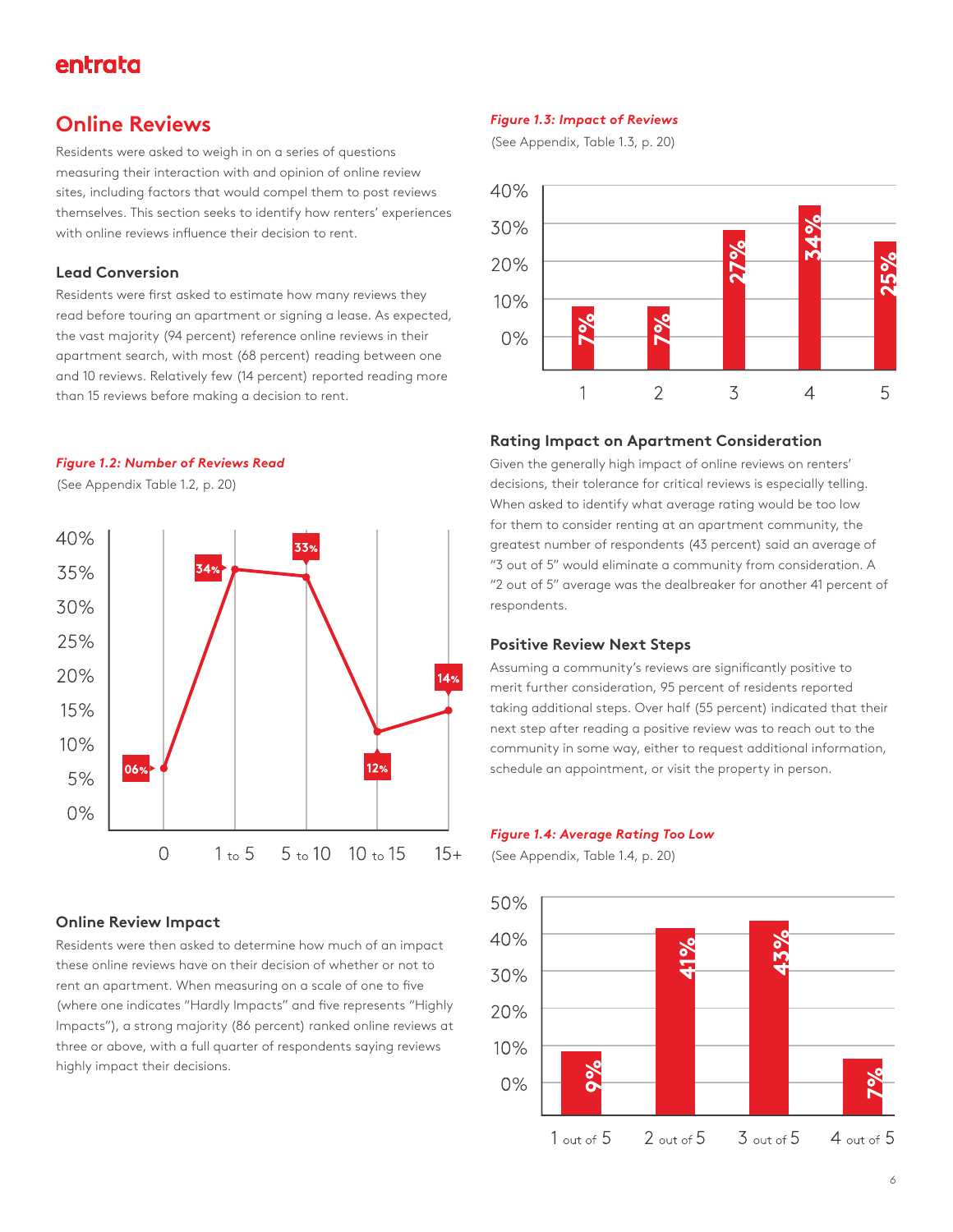### **Online Reviews**

Residents were asked to weigh in on a series of questions measuring their interaction with and opinion of online review sites, including factors that would compel them to post reviews themselves. This section seeks to identify how renters' experiences with online reviews influence their decision to rent.

#### **Lead Conversion**

Residents were first asked to estimate how many reviews they read before touring an apartment or signing a lease. As expected, the vast majority (94 percent) reference online reviews in their apartment search, with most (68 percent) reading between one and 10 reviews. Relatively few (14 percent) reported reading more than 15 reviews before making a decision to rent.

#### *Figure 1.2: Number of Reviews Read*

(See Appendix Table 1.2, p. 20)



#### **Online Review Impact**

Residents were then asked to determine how much of an impact these online reviews have on their decision of whether or not to rent an apartment. When measuring on a scale of one to five (where one indicates "Hardly Impacts" and five represents "Highly Impacts"), a strong majority (86 percent) ranked online reviews at three or above, with a full quarter of respondents saying reviews highly impact their decisions.

#### *Figure 1.3: Impact of Reviews*

(See Appendix, Table 1.3, p. 20)



#### **Rating Impact on Apartment Consideration**

Given the generally high impact of online reviews on renters' decisions, their tolerance for critical reviews is especially telling. When asked to identify what average rating would be too low for them to consider renting at an apartment community, the greatest number of respondents (43 percent) said an average of "3 out of 5" would eliminate a community from consideration. A "2 out of 5" average was the dealbreaker for another 41 percent of respondents.

#### **Positive Review Next Steps**

Assuming a community's reviews are significantly positive to merit further consideration, 95 percent of residents reported taking additional steps. Over half (55 percent) indicated that their next step after reading a positive review was to reach out to the community in some way, either to request additional information, schedule an appointment, or visit the property in person.

#### *Figure 1.4: Average Rating Too Low*

(See Appendix, Table 1.4, p. 20)

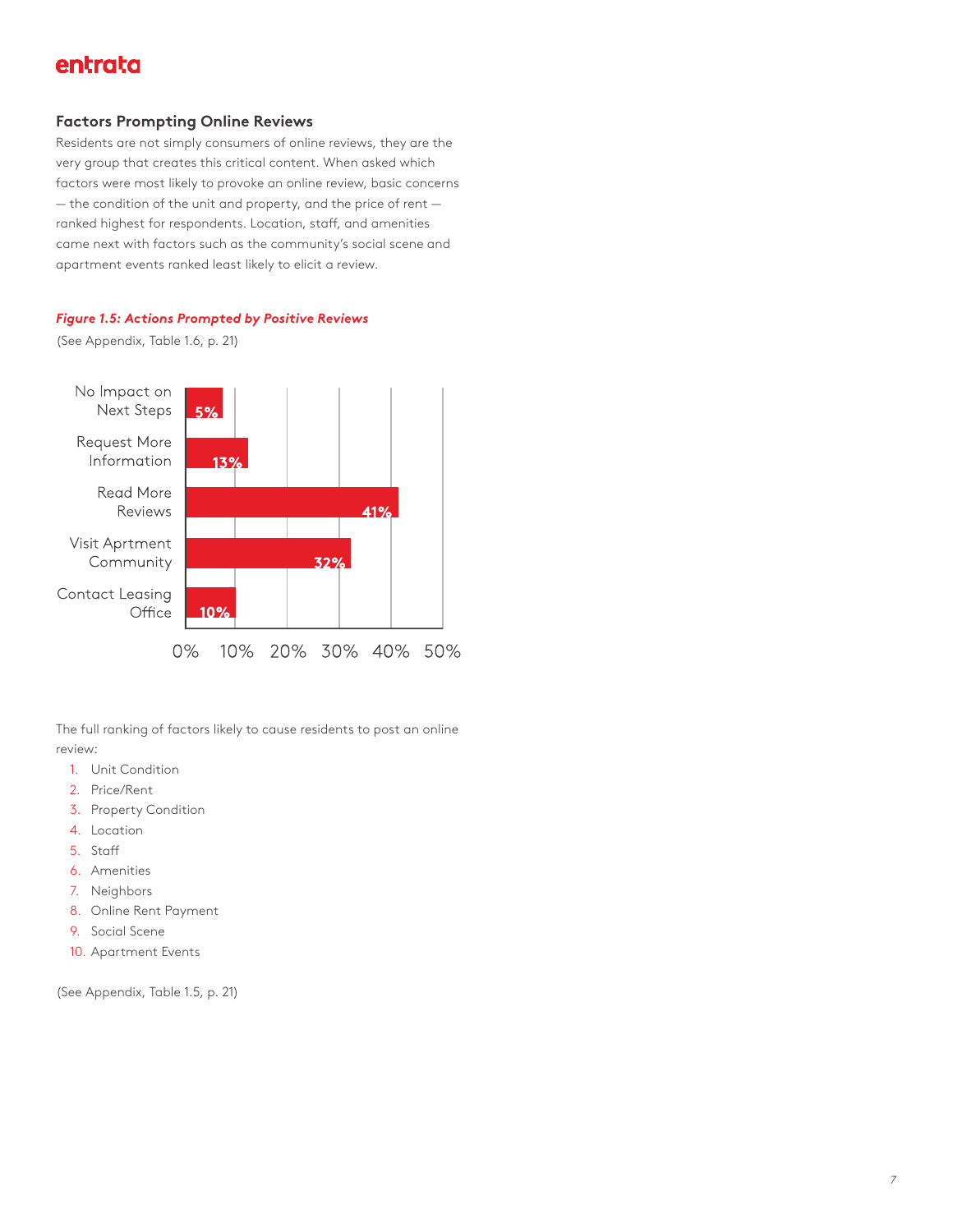#### **Factors Prompting Online Reviews**

Residents are not simply consumers of online reviews, they are the very group that creates this critical content. When asked which factors were most likely to provoke an online review, basic concerns — the condition of the unit and property, and the price of rent ranked highest for respondents. Location, staff, and amenities came next with factors such as the community's social scene and apartment events ranked least likely to elicit a review.

#### *Figure 1.5: Actions Prompted by Positive Reviews*

(See Appendix, Table 1.6, p. 21)



The full ranking of factors likely to cause residents to post an online review:

- 1. Unit Condition
- 2. Price/Rent
- 3. Property Condition
- 4. Location
- 5. Staff
- 6. Amenities
- 7. Neighbors
- 8. Online Rent Payment
- 9. Social Scene
- 10. Apartment Events

(See Appendix, Table 1.5, p. 21)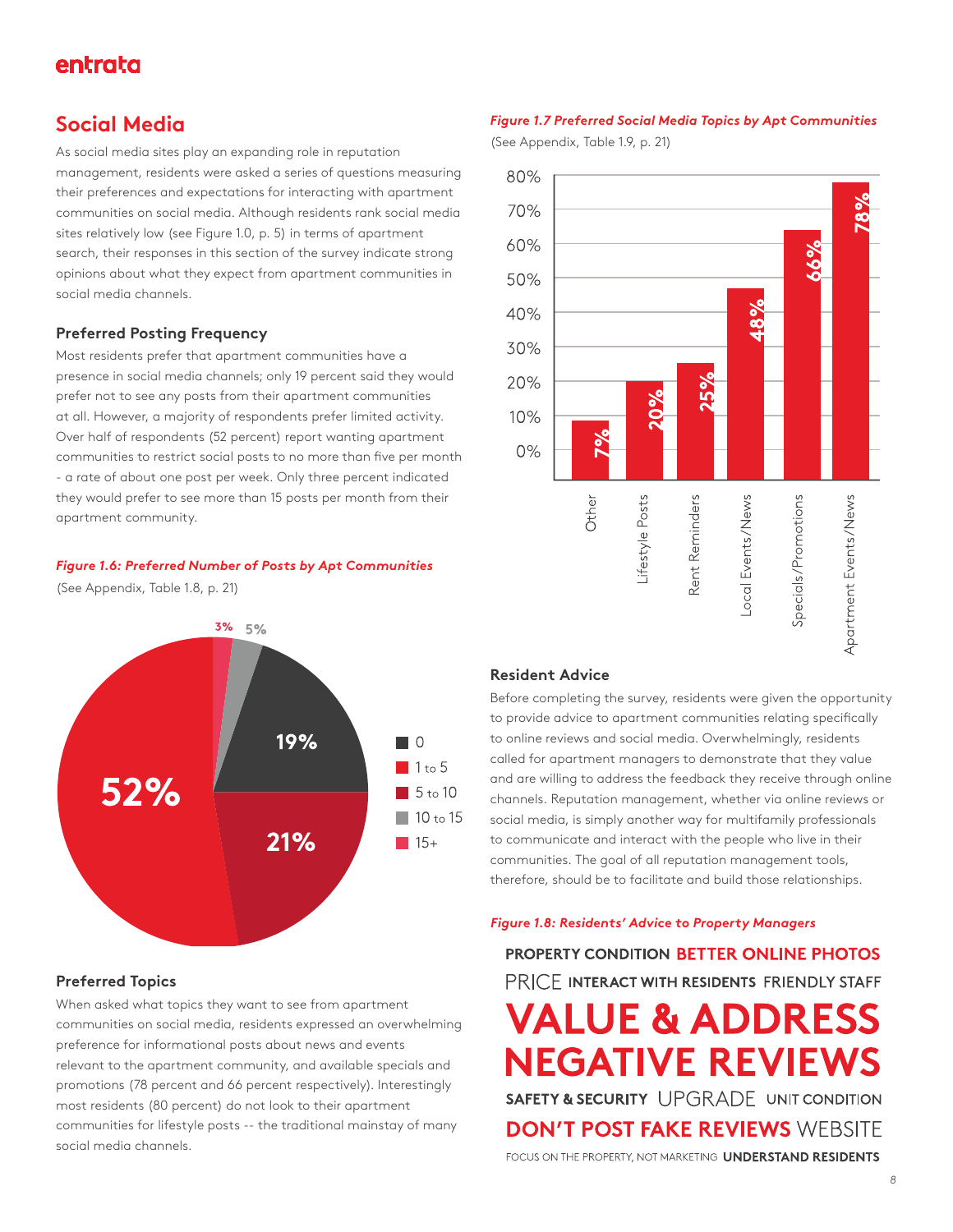### **Social Media**

As social media sites play an expanding role in reputation management, residents were asked a series of questions measuring their preferences and expectations for interacting with apartment communities on social media. Although residents rank social media sites relatively low (see Figure 1.0, p. 5) in terms of apartment search, their responses in this section of the survey indicate strong opinions about what they expect from apartment communities in social media channels.

#### **Preferred Posting Frequency**

Most residents prefer that apartment communities have a presence in social media channels; only 19 percent said they would prefer not to see any posts from their apartment communities at all. However, a majority of respondents prefer limited activity. Over half of respondents (52 percent) report wanting apartment communities to restrict social posts to no more than five per month - a rate of about one post per week. Only three percent indicated they would prefer to see more than 15 posts per month from their apartment community.

#### *Figure 1.6: Preferred Number of Posts by Apt Communities*

(See Appendix, Table 1.8, p. 21)



#### **Preferred Topics**

When asked what topics they want to see from apartment communities on social media, residents expressed an overwhelming preference for informational posts about news and events relevant to the apartment community, and available specials and promotions (78 percent and 66 percent respectively). Interestingly most residents (80 percent) do not look to their apartment communities for lifestyle posts -- the traditional mainstay of many social media channels.

#### *Figure 1.7 Preferred Social Media Topics by Apt Communities*

(See Appendix, Table 1.9, p. 21)



#### **Resident Advice**

Before completing the survey, residents were given the opportunity to provide advice to apartment communities relating specifically to online reviews and social media. Overwhelmingly, residents called for apartment managers to demonstrate that they value and are willing to address the feedback they receive through online channels. Reputation management, whether via online reviews or social media, is simply another way for multifamily professionals to communicate and interact with the people who live in their communities. The goal of all reputation management tools, therefore, should be to facilitate and build those relationships.

#### *Figure 1.8: Residents' Advice to Property Managers*

PROPERTY CONDITION BETTER ONLINE PHOTOS PRICE INTERACT WITH RESIDENTS FRIENDLY STAFF **VALUE & ADDRESS NEGATIVE REVIEWS SAFETY & SECURITY UPGRADE UNIT CONDITION DON'T POST FAKE REVIEWS WEBSITE** FOCUS ON THE PROPERTY, NOT MARKETING **UNDERSTAND RESIDENTS**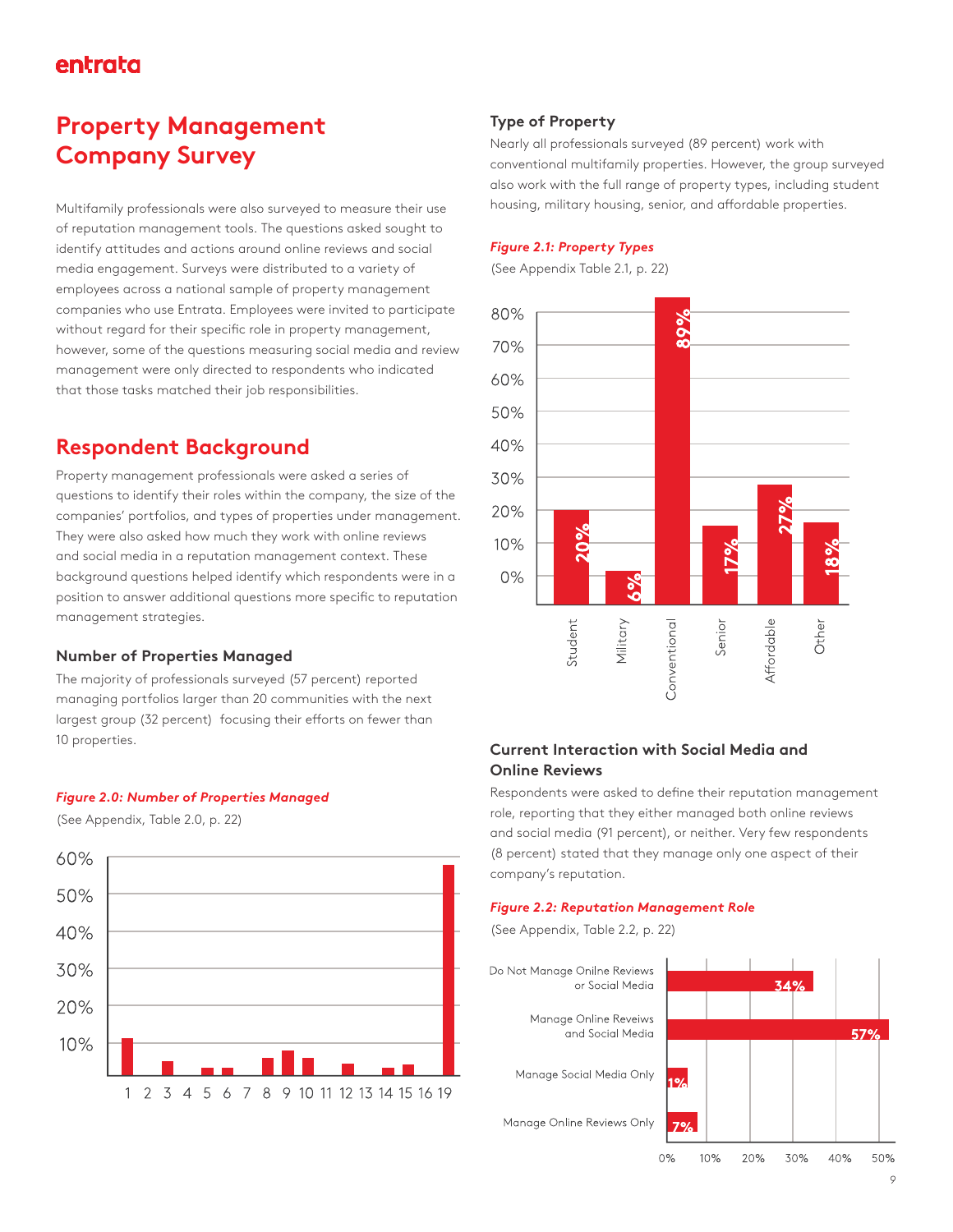## **Property Management Company Survey**

Multifamily professionals were also surveyed to measure their use of reputation management tools. The questions asked sought to identify attitudes and actions around online reviews and social media engagement. Surveys were distributed to a variety of employees across a national sample of property management companies who use Entrata. Employees were invited to participate without regard for their specific role in property management, however, some of the questions measuring social media and review management were only directed to respondents who indicated that those tasks matched their job responsibilities.

### **Respondent Background**

Property management professionals were asked a series of questions to identify their roles within the company, the size of the companies' portfolios, and types of properties under management. They were also asked how much they work with online reviews and social media in a reputation management context. These background questions helped identify which respondents were in a position to answer additional questions more specific to reputation management strategies.

#### **Number of Properties Managed**

The majority of professionals surveyed (57 percent) reported managing portfolios larger than 20 communities with the next largest group (32 percent) focusing their efforts on fewer than 10 properties.

#### *Figure 2.0: Number of Properties Managed*

(See Appendix, Table 2.0, p. 22)



#### **Type of Property**

Nearly all professionals surveyed (89 percent) work with conventional multifamily properties. However, the group surveyed also work with the full range of property types, including student housing, military housing, senior, and affordable properties.

#### *Figure 2.1: Property Types*

(See Appendix Table 2.1, p. 22)



#### **Current Interaction with Social Media and Online Reviews**

Respondents were asked to define their reputation management role, reporting that they either managed both online reviews and social media (91 percent), or neither. Very few respondents (8 percent) stated that they manage only one aspect of their company's reputation.

#### *Figure 2.2: Reputation Management Role*

(See Appendix, Table 2.2, p. 22)

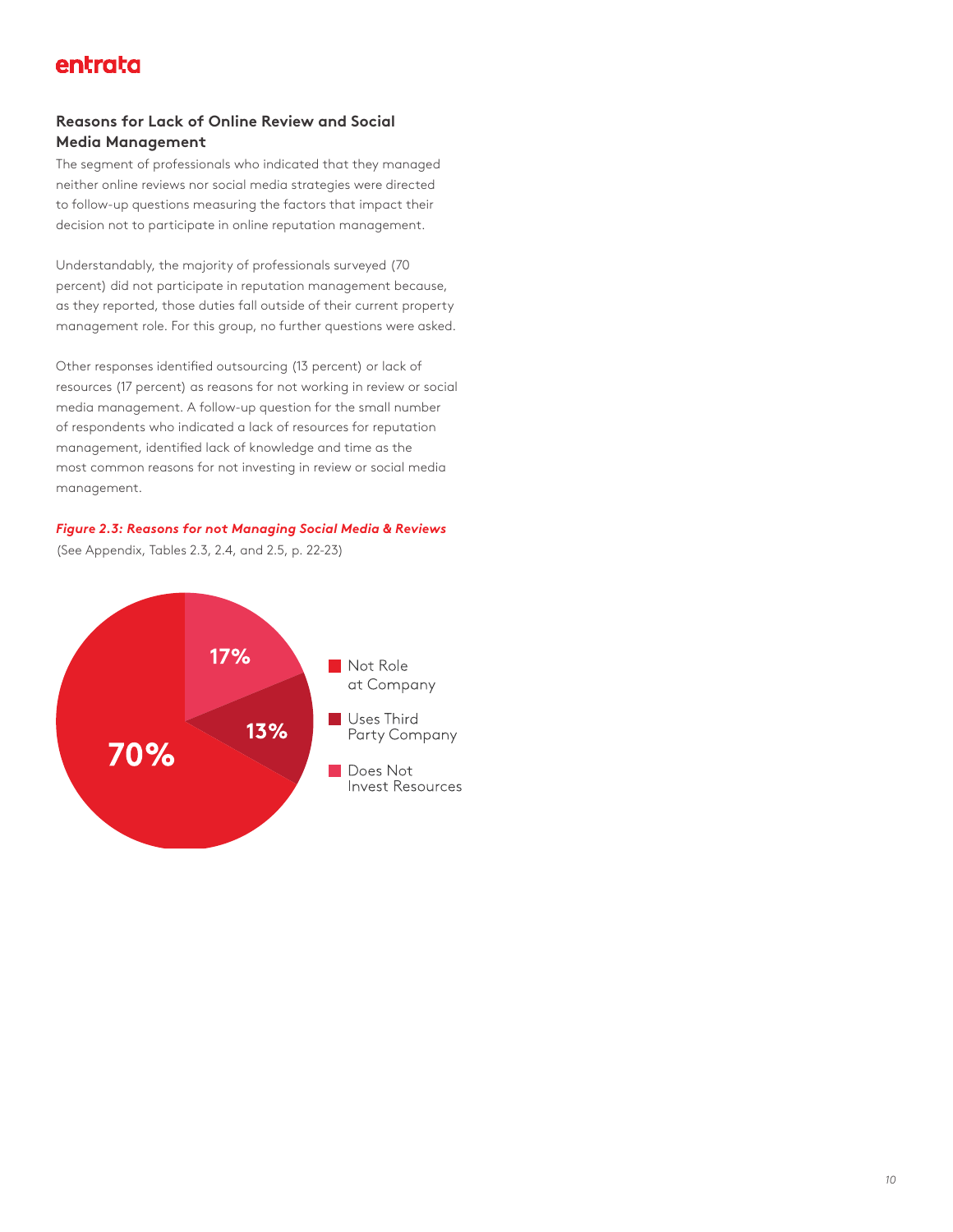#### **Reasons for Lack of Online Review and Social Media Management**

The segment of professionals who indicated that they managed neither online reviews nor social media strategies were directed to follow-up questions measuring the factors that impact their decision not to participate in online reputation management.

Understandably, the majority of professionals surveyed (70 percent) did not participate in reputation management because, as they reported, those duties fall outside of their current property management role. For this group, no further questions were asked.

Other responses identified outsourcing (13 percent) or lack of resources (17 percent) as reasons for not working in review or social media management. A follow-up question for the small number of respondents who indicated a lack of resources for reputation management, identified lack of knowledge and time as the most common reasons for not investing in review or social media management.

#### *Figure 2.3: Reasons for not Managing Social Media & Reviews*

(See Appendix, Tables 2.3, 2.4, and 2.5, p. 22-23)

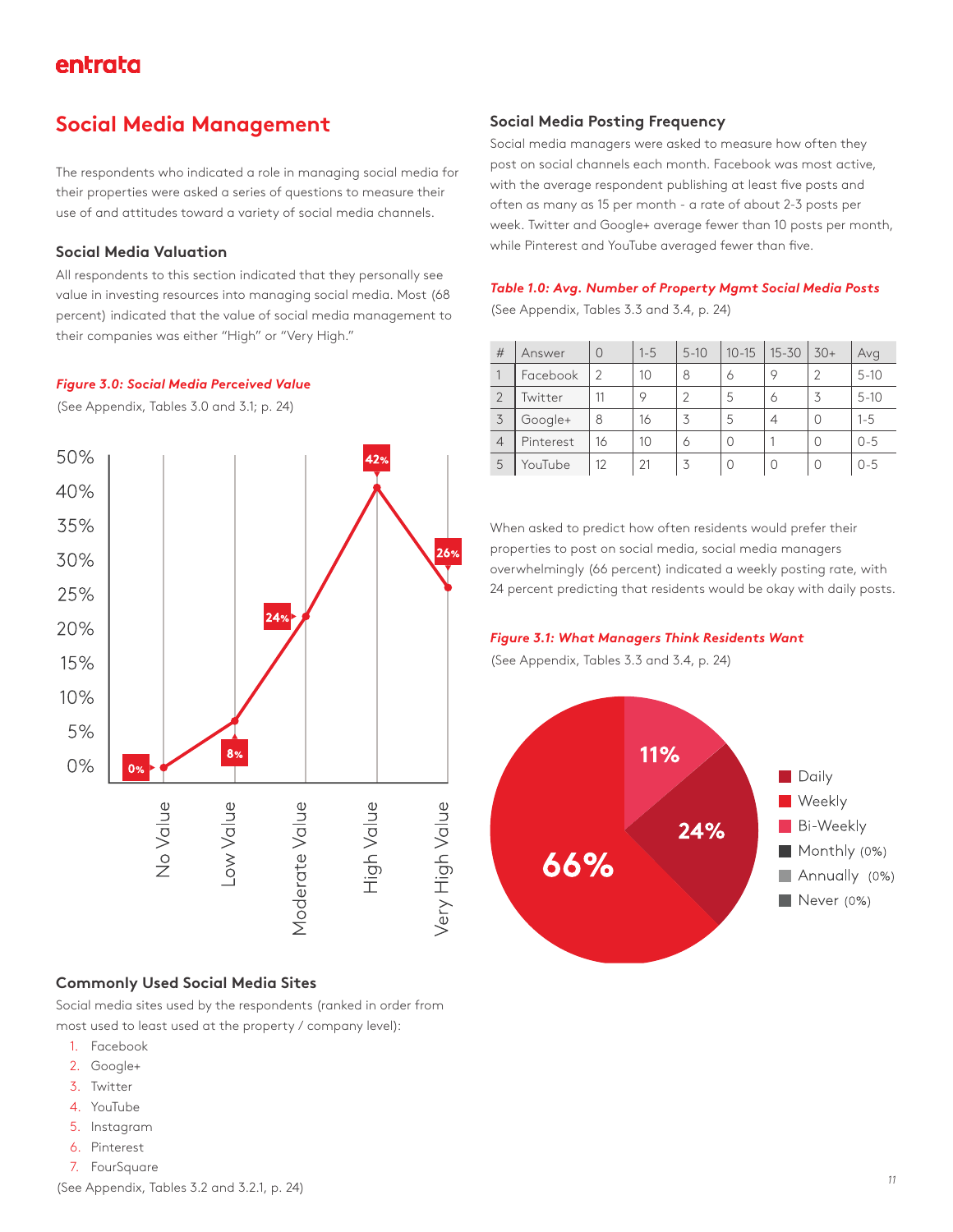## **Social Media Management**

The respondents who indicated a role in managing social media for their properties were asked a series of questions to measure their use of and attitudes toward a variety of social media channels.

#### **Social Media Valuation**

All respondents to this section indicated that they personally see value in investing resources into managing social media. Most (68 percent) indicated that the value of social media management to their companies was either "High" or "Very High."

#### *Figure 3.0: Social Media Perceived Value*

(See Appendix, Tables 3.0 and 3.1; p. 24)



#### **Commonly Used Social Media Sites**

Social media sites used by the respondents (ranked in order from most used to least used at the property / company level):

- 1. Facebook
- 2. Google+
- 3. Twitter
- 4. YouTube
- 5. Instagram
- 6. Pinterest
- 7. FourSquare

#### **Social Media Posting Frequency**

Social media managers were asked to measure how often they post on social channels each month. Facebook was most active, with the average respondent publishing at least five posts and often as many as 15 per month - a rate of about 2-3 posts per week. Twitter and Google+ average fewer than 10 posts per month, while Pinterest and YouTube averaged fewer than five.

#### *Table 1.0: Avg. Number of Property Mgmt Social Media Posts*

(See Appendix, Tables 3.3 and 3.4, p. 24)

| #              | Answer    | $\Omega$      | $1 - 5$ | $5 - 10$ | $10 - 15$ | $15 - 30$ | $30+$ | Avg      |
|----------------|-----------|---------------|---------|----------|-----------|-----------|-------|----------|
|                | Facebook  | $\mathcal{P}$ | 10      | 8        | 6         | 9         | 2     | $5 - 10$ |
|                | Twitter   | 11            | 9       |          | 5         | 6         | 3     | $5 - 10$ |
| 3              | Google+   | 8             | 16      | 3        | 5         | 4         | 0     | $1 - 5$  |
| $\overline{4}$ | Pinterest | 16            | 10      | 6        | Ω         |           | Ω     | $0 - 5$  |
| 5              | YouTube   | 12            | 21      | 3        | 0         | 0         | 0     | $0 - 5$  |

When asked to predict how often residents would prefer their properties to post on social media, social media managers overwhelmingly (66 percent) indicated a weekly posting rate, with 24 percent predicting that residents would be okay with daily posts.

#### *Figure 3.1: What Managers Think Residents Want*

(See Appendix, Tables 3.3 and 3.4, p. 24)

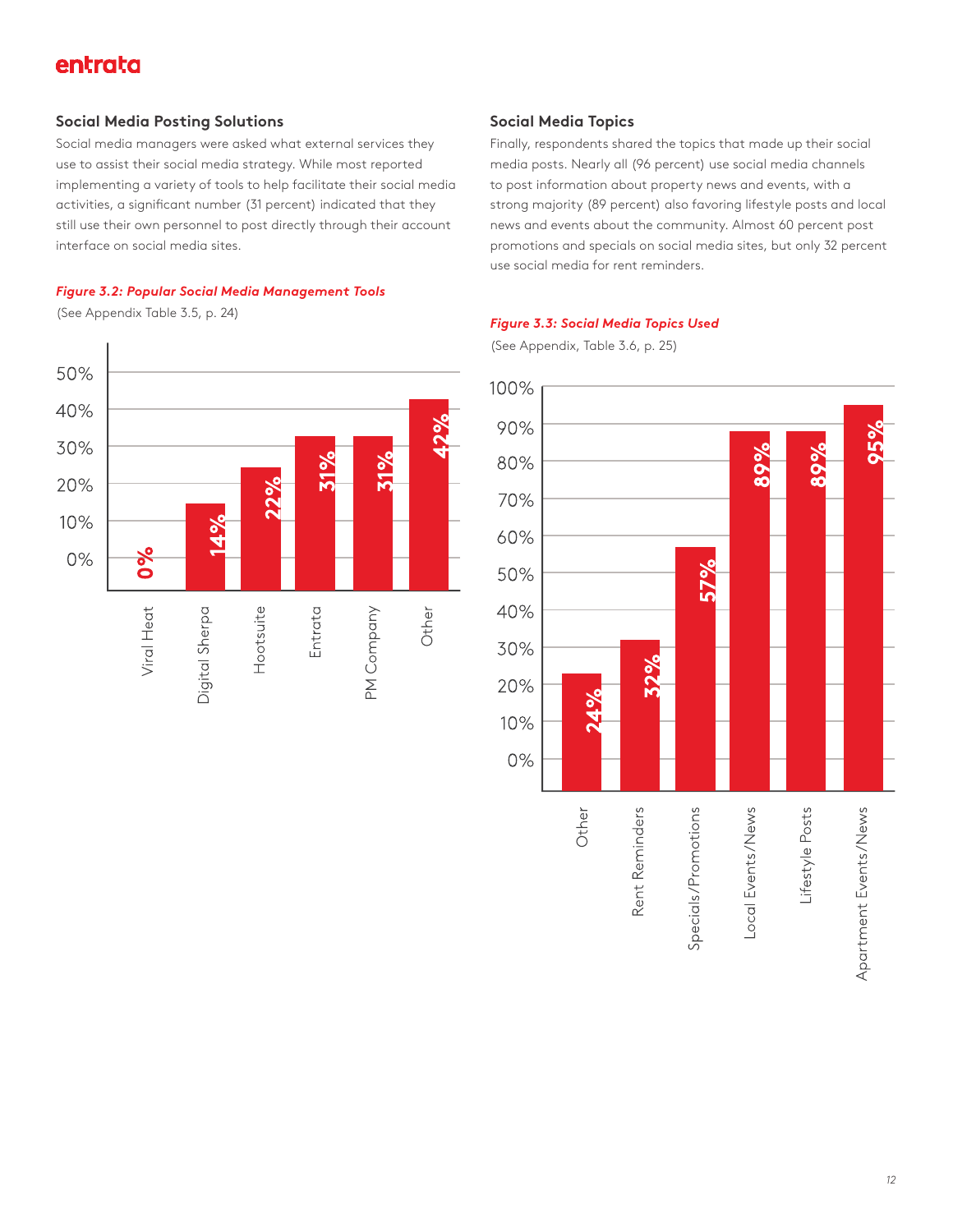#### **Social Media Posting Solutions**

Social media managers were asked what external services they use to assist their social media strategy. While most reported implementing a variety of tools to help facilitate their social media activities, a significant number (31 percent) indicated that they still use their own personnel to post directly through their account interface on social media sites.

#### *Figure 3.2: Popular Social Media Management Tools*

(See Appendix Table 3.5, p. 24)



#### **Social Media Topics**

Finally, respondents shared the topics that made up their social media posts. Nearly all (96 percent) use social media channels to post information about property news and events, with a strong majority (89 percent) also favoring lifestyle posts and local news and events about the community. Almost 60 percent post promotions and specials on social media sites, but only 32 percent use social media for rent reminders.

#### *Figure 3.3: Social Media Topics Used*

(See Appendix, Table 3.6, p. 25)

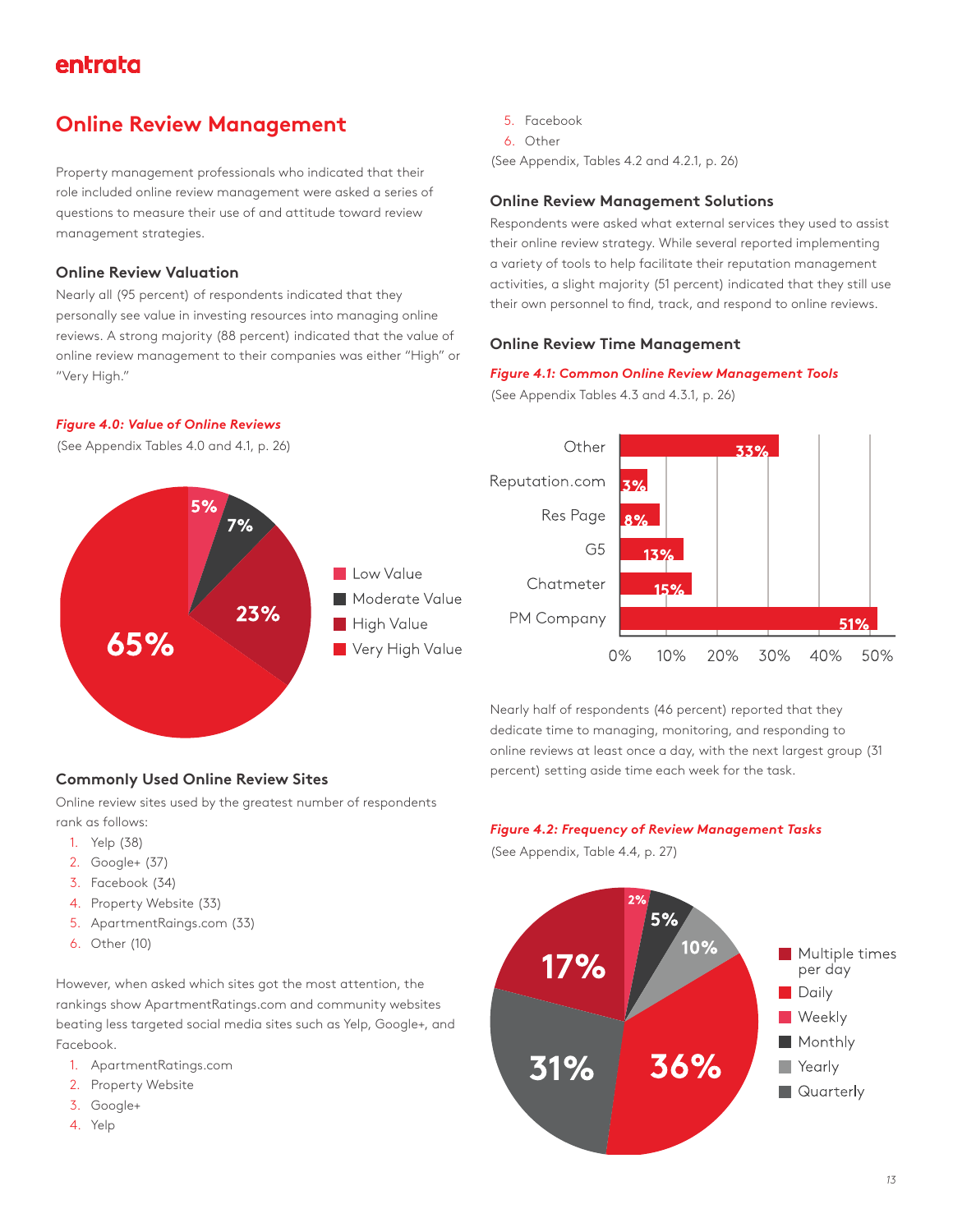## **Online Review Management**

Property management professionals who indicated that their role included online review management were asked a series of questions to measure their use of and attitude toward review management strategies.

#### **Online Review Valuation**

*Figure 4.0: Value of Online Reviews* 

Nearly all (95 percent) of respondents indicated that they personally see value in investing resources into managing online reviews. A strong majority (88 percent) indicated that the value of online review management to their companies was either "High" or "Very High."

#### 5. Facebook

6. Other

(See Appendix, Tables 4.2 and 4.2.1, p. 26)

#### **Online Review Management Solutions**

Respondents were asked what external services they used to assist their online review strategy. While several reported implementing a variety of tools to help facilitate their reputation management activities, a slight majority (51 percent) indicated that they still use their own personnel to find, track, and respond to online reviews.

#### **Online Review Time Management**

#### *Figure 4.1: Common Online Review Management Tools*

(See Appendix Tables 4.3 and 4.3.1, p. 26)



#### Other 33% Reputation.com Res Page G<sub>5</sub> Chatmeter PM Company 51%  $0%$ 10% 20% 30% 40% 50%

Nearly half of respondents (46 percent) reported that they dedicate time to managing, monitoring, and responding to online reviews at least once a day, with the next largest group (31 percent) setting aside time each week for the task.

#### **Commonly Used Online Review Sites**

Online review sites used by the greatest number of respondents rank as follows:

- 1. Yelp (38)
- 2. Google+ (37)
- 3. Facebook (34)
- 4. Property Website (33)
- 5. ApartmentRaings.com (33)
- 6. Other (10)

However, when asked which sites got the most attention, the rankings show ApartmentRatings.com and community websites beating less targeted social media sites such as Yelp, Google+, and Facebook.

- 1. ApartmentRatings.com
- 2. Property Website
- 3. Google+
- 4. Yelp



(See Appendix, Table 4.4, p. 27)

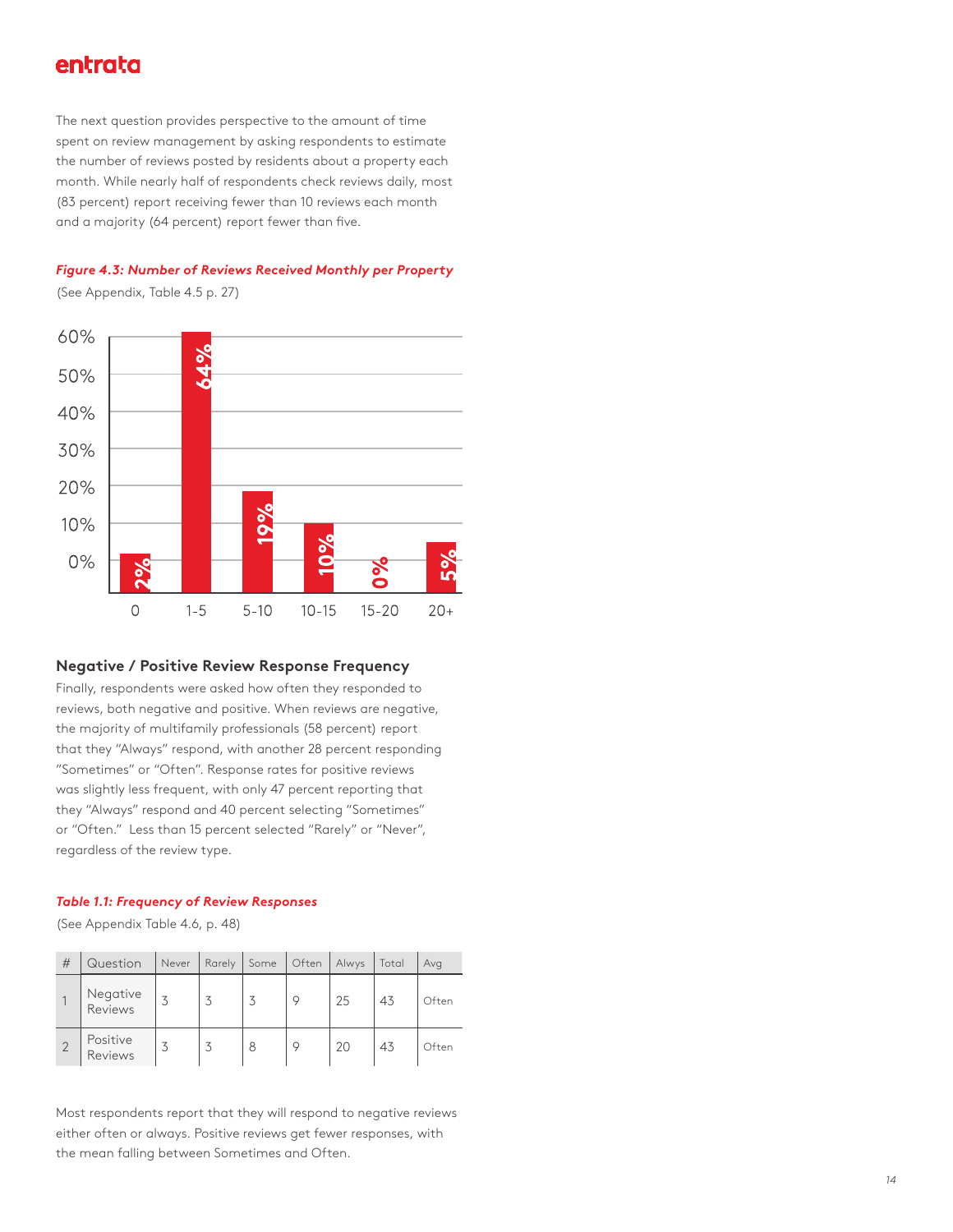The next question provides perspective to the amount of time spent on review management by asking respondents to estimate the number of reviews posted by residents about a property each month. While nearly half of respondents check reviews daily, most (83 percent) report receiving fewer than 10 reviews each month and a majority (64 percent) report fewer than five.



(See Appendix, Table 4.5 p. 27)



#### **Negative / Positive Review Response Frequency**

Finally, respondents were asked how often they responded to reviews, both negative and positive. When reviews are negative, the majority of multifamily professionals (58 percent) report that they "Always" respond, with another 28 percent responding "Sometimes" or "Often". Response rates for positive reviews was slightly less frequent, with only 47 percent reporting that they "Always" respond and 40 percent selecting "Sometimes" or "Often." Less than 15 percent selected "Rarely" or "Never", regardless of the review type.

#### *Table 1.1: Frequency of Review Responses*

(See Appendix Table 4.6, p. 48)

| # | Question            | Never | Rarely | Some | Often | Alwys | Total | Avg   |
|---|---------------------|-------|--------|------|-------|-------|-------|-------|
|   | Negative<br>Reviews | 3     | 3      |      | O     | 25    | 43    | Often |
|   | Positive<br>Reviews | 3     |        | 8    |       | 20    | 43    | Often |

Most respondents report that they will respond to negative reviews either often or always. Positive reviews get fewer responses, with the mean falling between Sometimes and Often.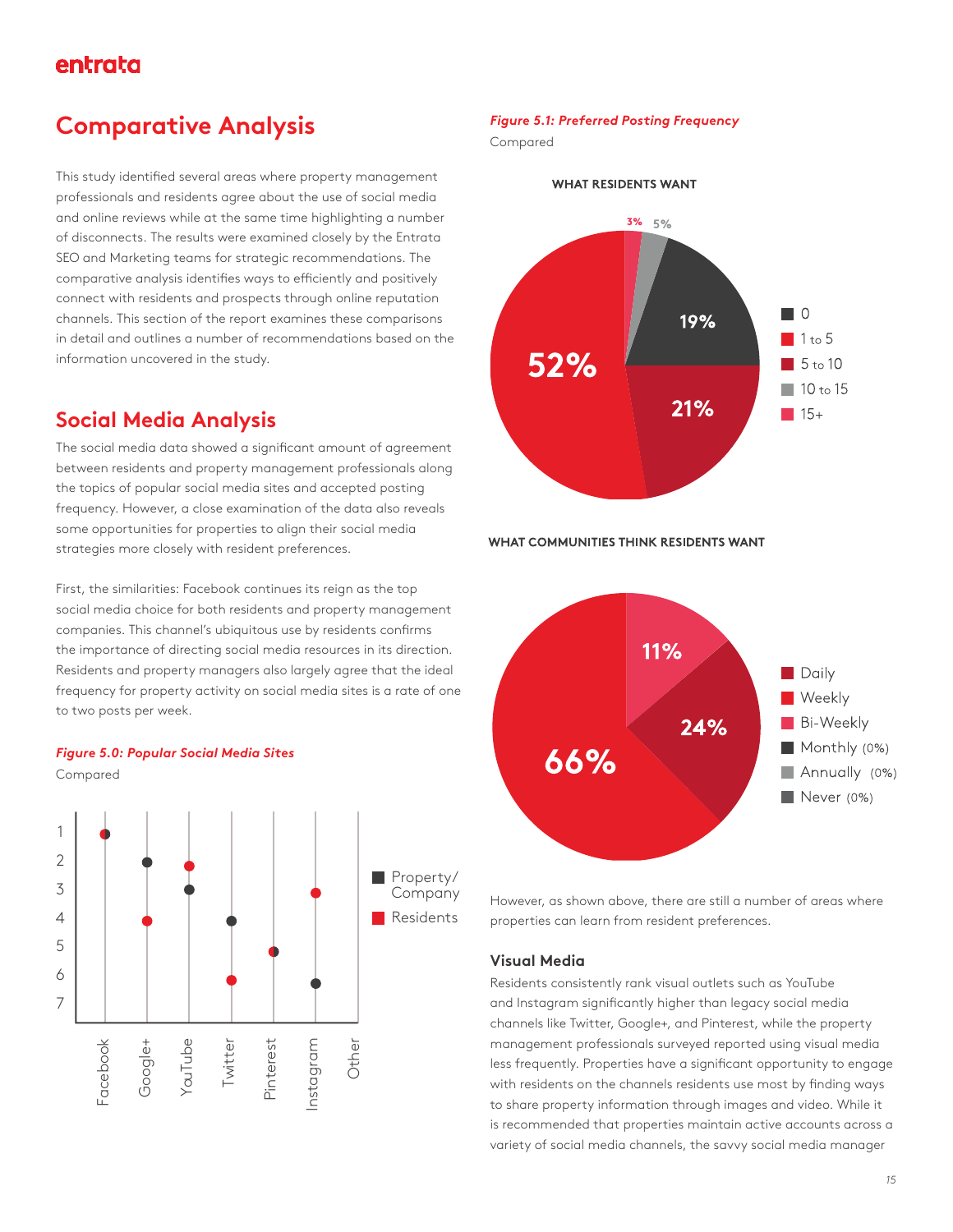## **Comparative Analysis**

This study identified several areas where property management professionals and residents agree about the use of social media and online reviews while at the same time highlighting a number of disconnects. The results were examined closely by the Entrata SEO and Marketing teams for strategic recommendations. The comparative analysis identifies ways to efficiently and positively connect with residents and prospects through online reputation channels. This section of the report examines these comparisons in detail and outlines a number of recommendations based on the information uncovered in the study.

## **Social Media Analysis**

The social media data showed a significant amount of agreement between residents and property management professionals along the topics of popular social media sites and accepted posting frequency. However, a close examination of the data also reveals some opportunities for properties to align their social media strategies more closely with resident preferences.

First, the similarities: Facebook continues its reign as the top social media choice for both residents and property management companies. This channel's ubiquitous use by residents confirms the importance of directing social media resources in its direction. Residents and property managers also largely agree that the ideal frequency for property activity on social media sites is a rate of one to two posts per week.





#### *Figure 5.1: Preferred Posting Frequency*

Compared



WHAT COMMUNITIES THINK RESIDENTS WANT



However, as shown above, there are still a number of areas where properties can learn from resident preferences.

#### **Visual Media**

Residents consistently rank visual outlets such as YouTube and Instagram significantly higher than legacy social media channels like Twitter, Google+, and Pinterest, while the property management professionals surveyed reported using visual media less frequently. Properties have a significant opportunity to engage with residents on the channels residents use most by finding ways to share property information through images and video. While it is recommended that properties maintain active accounts across a variety of social media channels, the savvy social media manager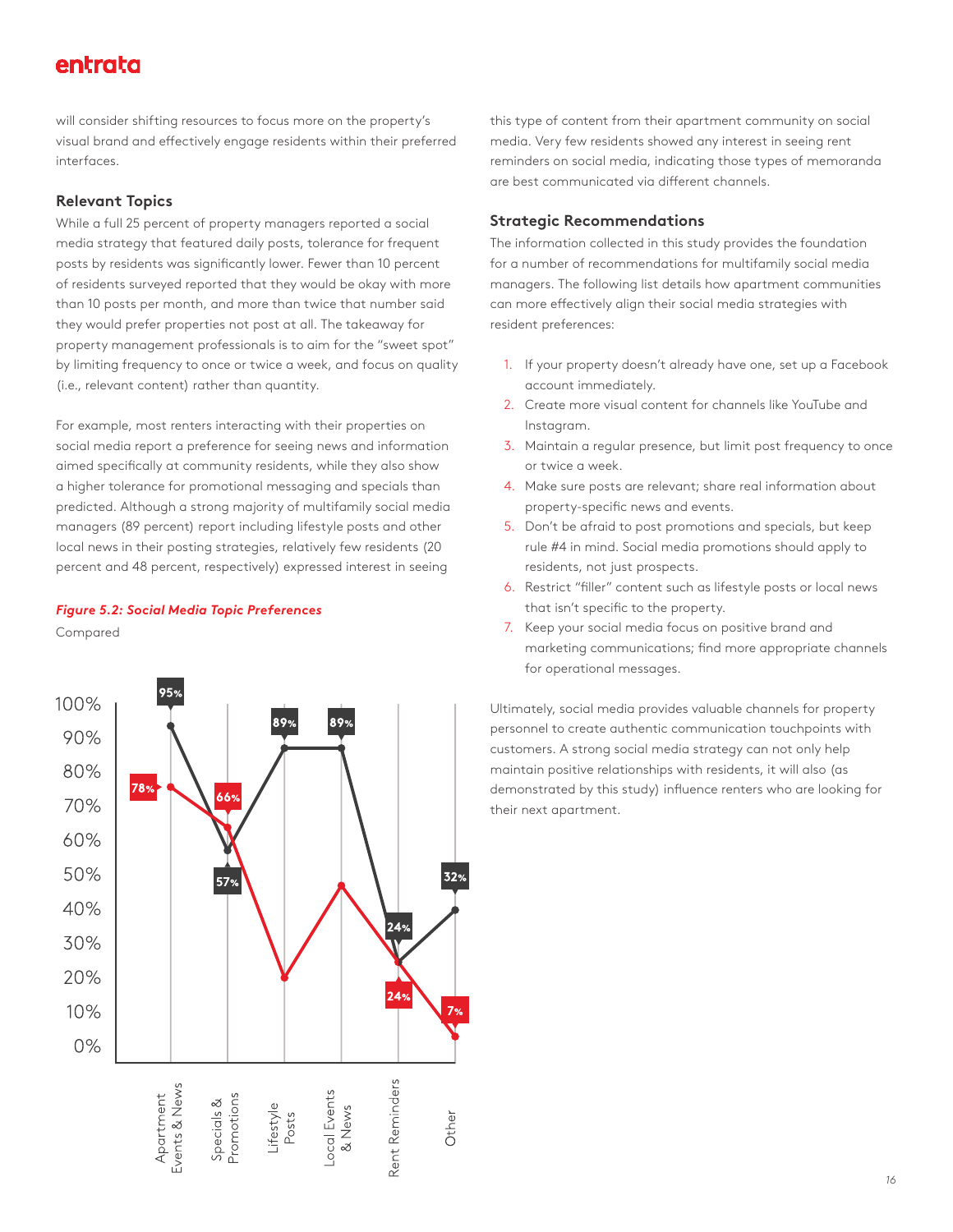will consider shifting resources to focus more on the property's visual brand and effectively engage residents within their preferred interfaces.

#### **Relevant Topics**

While a full 25 percent of property managers reported a social media strategy that featured daily posts, tolerance for frequent posts by residents was significantly lower. Fewer than 10 percent of residents surveyed reported that they would be okay with more than 10 posts per month, and more than twice that number said they would prefer properties not post at all. The takeaway for property management professionals is to aim for the "sweet spot" by limiting frequency to once or twice a week, and focus on quality (i.e., relevant content) rather than quantity.

For example, most renters interacting with their properties on social media report a preference for seeing news and information aimed specifically at community residents, while they also show a higher tolerance for promotional messaging and specials than predicted. Although a strong majority of multifamily social media managers (89 percent) report including lifestyle posts and other local news in their posting strategies, relatively few residents (20 percent and 48 percent, respectively) expressed interest in seeing

#### *Figure 5.2: Social Media Topic Preferences*

Compared



this type of content from their apartment community on social media. Very few residents showed any interest in seeing rent reminders on social media, indicating those types of memoranda are best communicated via different channels.

#### **Strategic Recommendations**

The information collected in this study provides the foundation for a number of recommendations for multifamily social media managers. The following list details how apartment communities can more effectively align their social media strategies with resident preferences:

- 1. If your property doesn't already have one, set up a Facebook account immediately.
- 2. Create more visual content for channels like YouTube and Instagram.
- 3. Maintain a regular presence, but limit post frequency to once or twice a week.
- 4. Make sure posts are relevant; share real information about property-specific news and events.
- 5. Don't be afraid to post promotions and specials, but keep rule #4 in mind. Social media promotions should apply to residents, not just prospects.
- 6. Restrict "filler" content such as lifestyle posts or local news that isn't specific to the property.
- 7. Keep your social media focus on positive brand and marketing communications; find more appropriate channels for operational messages.

Ultimately, social media provides valuable channels for property personnel to create authentic communication touchpoints with customers. A strong social media strategy can not only help maintain positive relationships with residents, it will also (as demonstrated by this study) influence renters who are looking for their next apartment.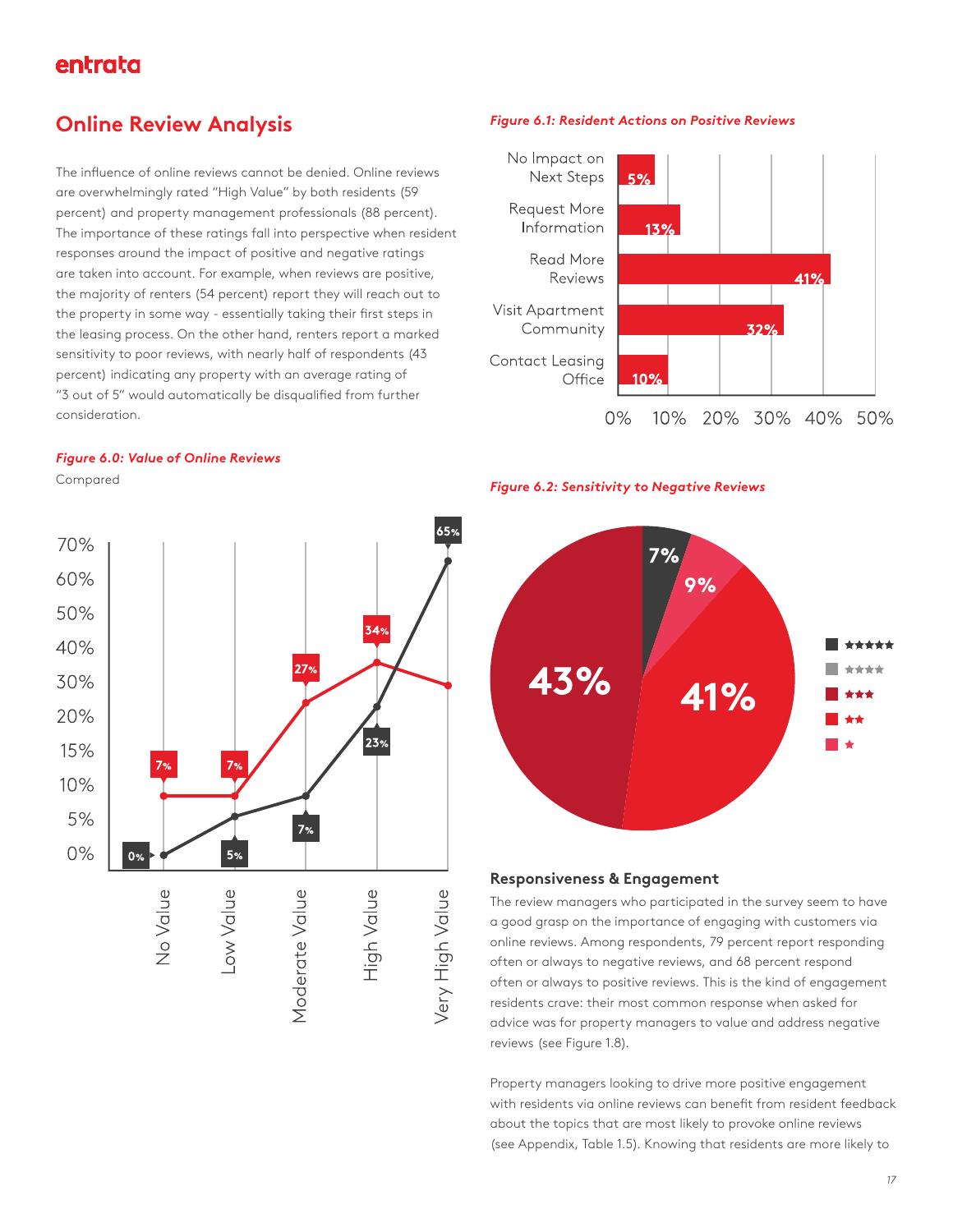## **Online Review Analysis**

The influence of online reviews cannot be denied. Online reviews are overwhelmingly rated "High Value" by both residents (59 percent) and property management professionals (88 percent). The importance of these ratings fall into perspective when resident responses around the impact of positive and negative ratings are taken into account. For example, when reviews are positive, the majority of renters (54 percent) report they will reach out to the property in some way - essentially taking their first steps in the leasing process. On the other hand, renters report a marked sensitivity to poor reviews, with nearly half of respondents (43 percent) indicating any property with an average rating of "3 out of 5" would automatically be disqualified from further consideration.

#### *Figure 6.0: Value of Online Reviews*

Compared



#### *Figure 6.1: Resident Actions on Positive Reviews*



#### *Figure 6.2: Sensitivity to Negative Reviews*



#### **Responsiveness & Engagement**

The review managers who participated in the survey seem to have a good grasp on the importance of engaging with customers via online reviews. Among respondents, 79 percent report responding often or always to negative reviews, and 68 percent respond often or always to positive reviews. This is the kind of engagement residents crave: their most common response when asked for advice was for property managers to value and address negative reviews (see Figure 1.8).

Property managers looking to drive more positive engagement with residents via online reviews can benefit from resident feedback about the topics that are most likely to provoke online reviews (see Appendix, Table 1.5). Knowing that residents are more likely to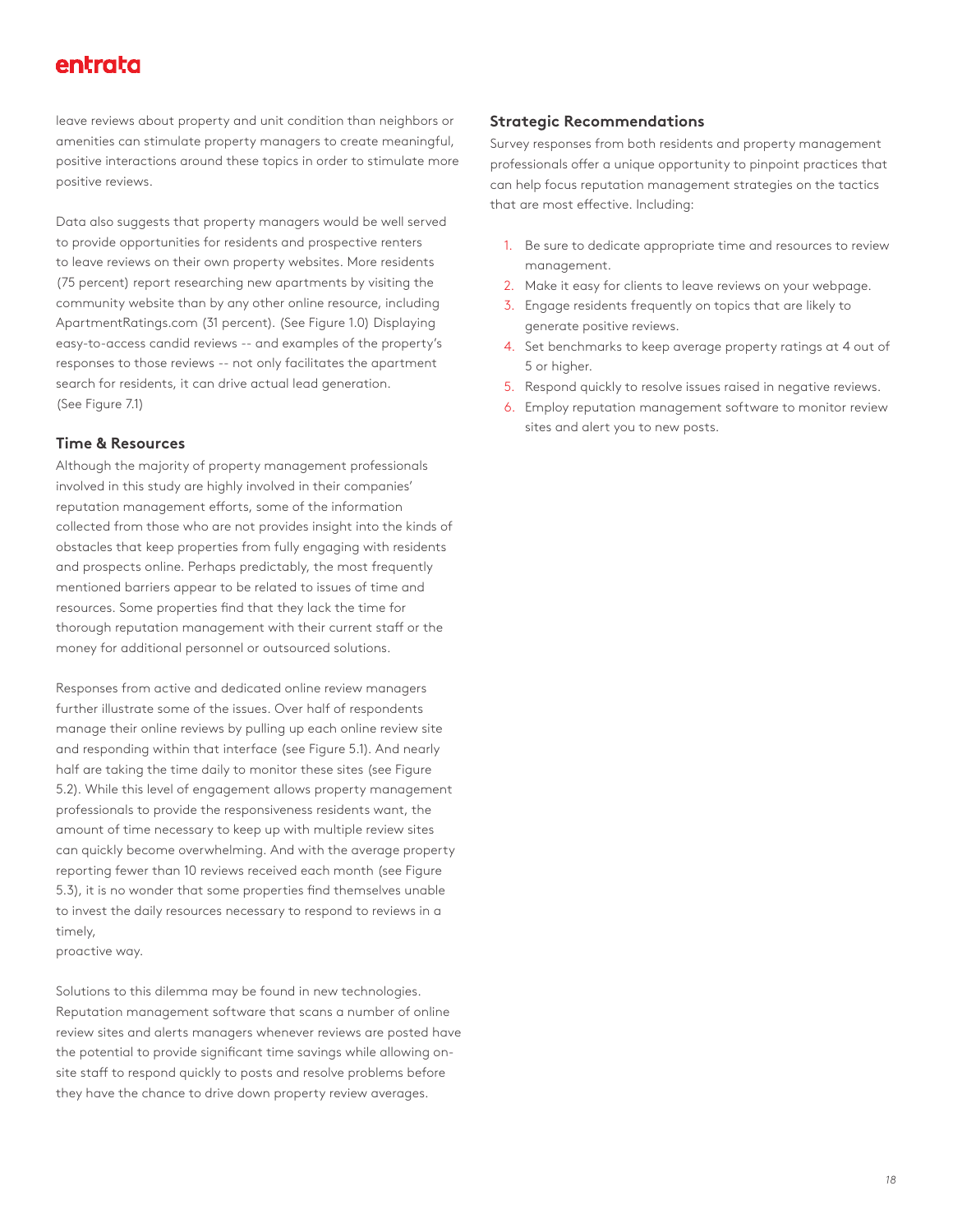leave reviews about property and unit condition than neighbors or amenities can stimulate property managers to create meaningful, positive interactions around these topics in order to stimulate more positive reviews.

Data also suggests that property managers would be well served to provide opportunities for residents and prospective renters to leave reviews on their own property websites. More residents (75 percent) report researching new apartments by visiting the community website than by any other online resource, including ApartmentRatings.com (31 percent). (See Figure 1.0) Displaying easy-to-access candid reviews -- and examples of the property's responses to those reviews -- not only facilitates the apartment search for residents, it can drive actual lead generation. (See Figure 7.1)

#### **Time & Resources**

Although the majority of property management professionals involved in this study are highly involved in their companies' reputation management efforts, some of the information collected from those who are not provides insight into the kinds of obstacles that keep properties from fully engaging with residents and prospects online. Perhaps predictably, the most frequently mentioned barriers appear to be related to issues of time and resources. Some properties find that they lack the time for thorough reputation management with their current staff or the money for additional personnel or outsourced solutions.

Responses from active and dedicated online review managers further illustrate some of the issues. Over half of respondents manage their online reviews by pulling up each online review site and responding within that interface (see Figure 5.1). And nearly half are taking the time daily to monitor these sites (see Figure 5.2). While this level of engagement allows property management professionals to provide the responsiveness residents want, the amount of time necessary to keep up with multiple review sites can quickly become overwhelming. And with the average property reporting fewer than 10 reviews received each month (see Figure 5.3), it is no wonder that some properties find themselves unable to invest the daily resources necessary to respond to reviews in a timely,

proactive way.

Solutions to this dilemma may be found in new technologies. Reputation management software that scans a number of online review sites and alerts managers whenever reviews are posted have the potential to provide significant time savings while allowing onsite staff to respond quickly to posts and resolve problems before they have the chance to drive down property review averages.

#### **Strategic Recommendations**

Survey responses from both residents and property management professionals offer a unique opportunity to pinpoint practices that can help focus reputation management strategies on the tactics that are most effective. Including:

- 1. Be sure to dedicate appropriate time and resources to review management.
- 2. Make it easy for clients to leave reviews on your webpage.
- 3. Engage residents frequently on topics that are likely to generate positive reviews.
- 4. Set benchmarks to keep average property ratings at 4 out of 5 or higher.
- 5. Respond quickly to resolve issues raised in negative reviews.
- 6. Employ reputation management software to monitor review sites and alert you to new posts.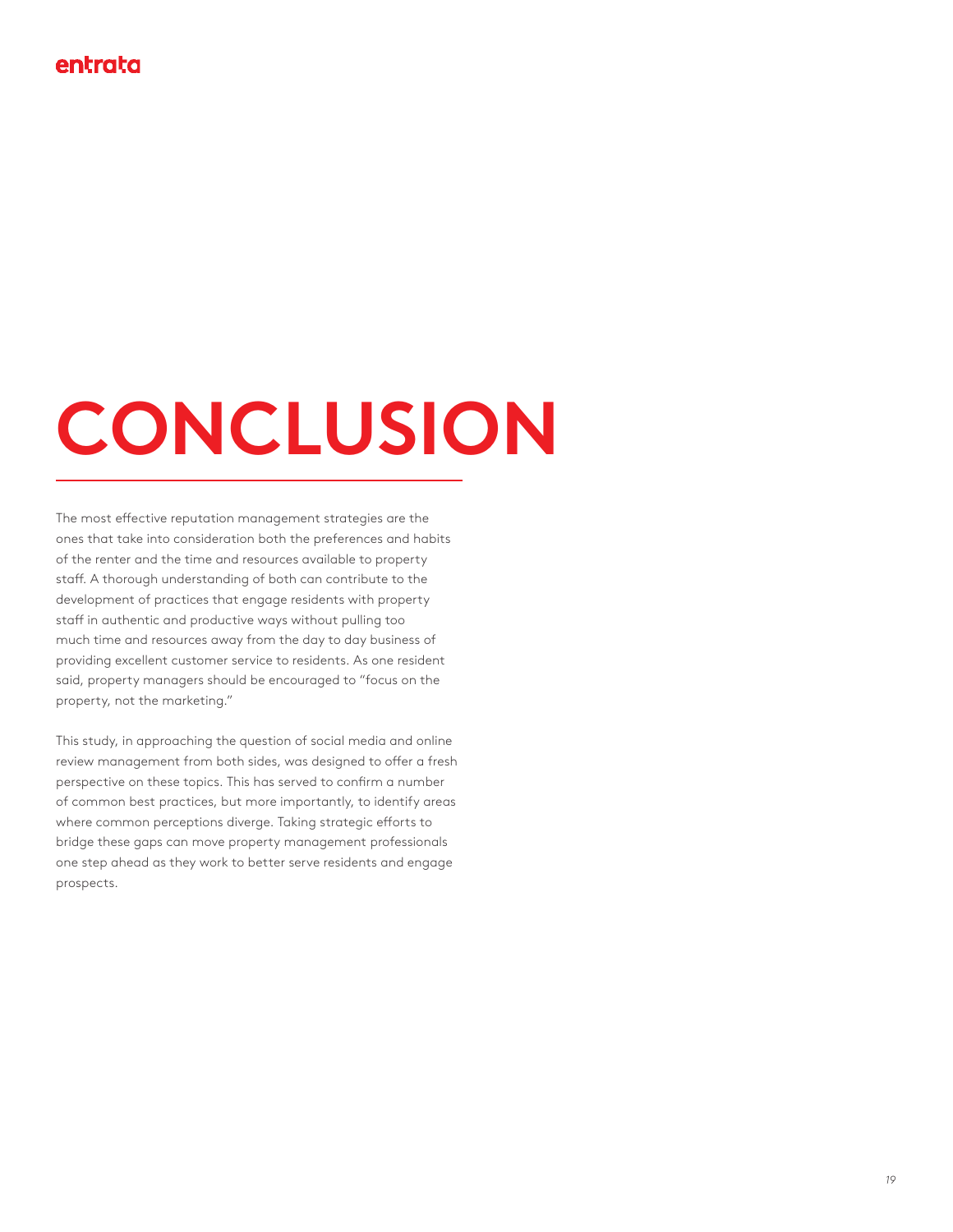## **CONCLUSION**

The most effective reputation management strategies are the ones that take into consideration both the preferences and habits of the renter and the time and resources available to property staff. A thorough understanding of both can contribute to the development of practices that engage residents with property staff in authentic and productive ways without pulling too much time and resources away from the day to day business of providing excellent customer service to residents. As one resident said, property managers should be encouraged to "focus on the property, not the marketing."

This study, in approaching the question of social media and online review management from both sides, was designed to offer a fresh perspective on these topics. This has served to confirm a number of common best practices, but more importantly, to identify areas where common perceptions diverge. Taking strategic efforts to bridge these gaps can move property management professionals one step ahead as they work to better serve residents and engage prospects.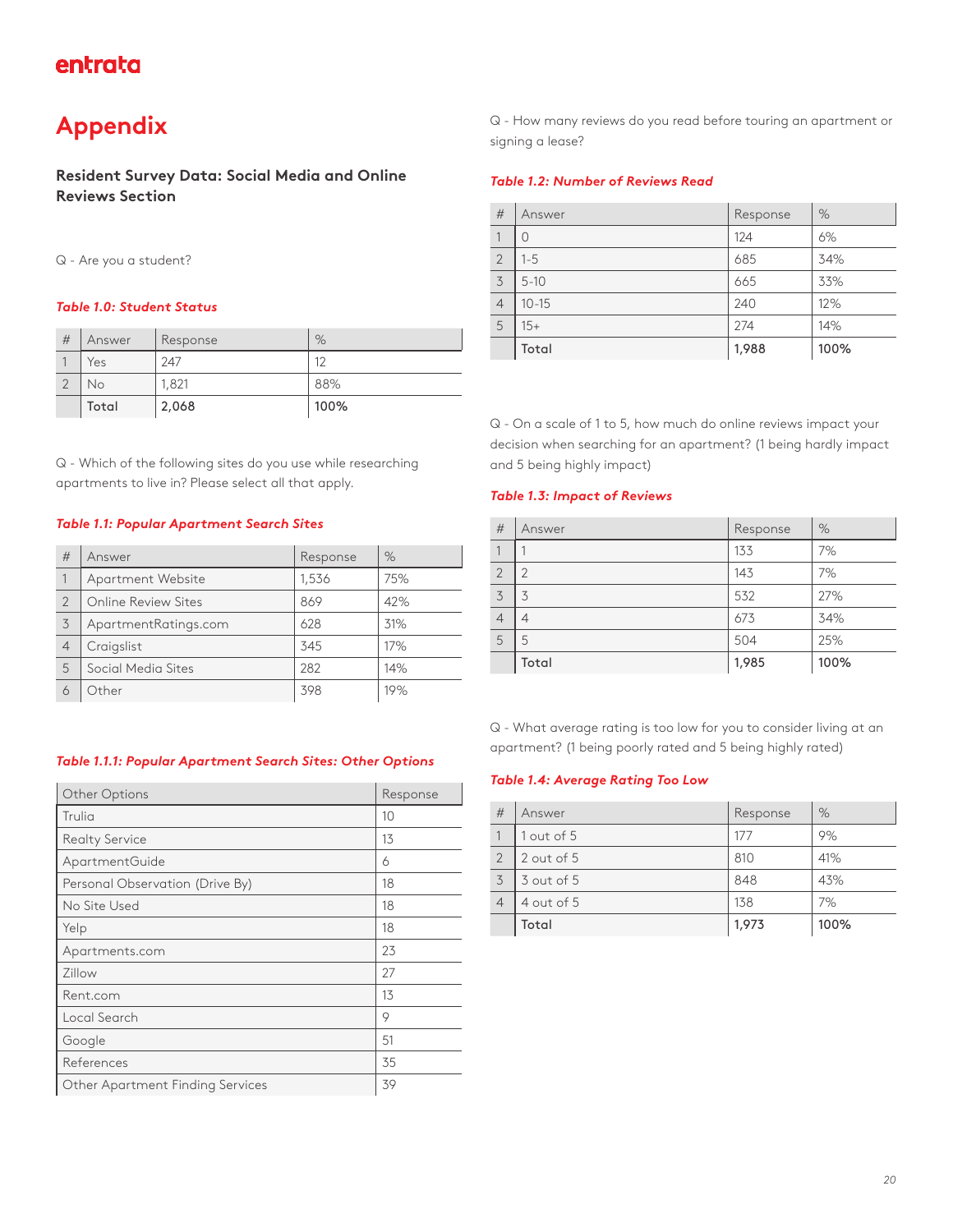## **Appendix**

**Resident Survey Data: Social Media and Online Reviews Section**

#### Q - Are you a student?

#### *Table 1.0: Student Status*

| # | Answer | Response | %    |
|---|--------|----------|------|
|   | Yes    | 247      | 12   |
|   | Νo     | 1,821    | 88%  |
|   | Total  | 2,068    | 100% |

Q - Which of the following sites do you use while researching apartments to live in? Please select all that apply.

#### *Table 1.1: Popular Apartment Search Sites*

| #              | Answer               | Response | $\%$ |
|----------------|----------------------|----------|------|
|                | Apartment Website    | 1,536    | 75%  |
| 2              | Online Review Sites  | 869      | 42%  |
| 3              | ApartmentRatings.com | 628      | 31%  |
| $\overline{4}$ | Craigslist           | 345      | 17%  |
| 5              | Social Media Sites   | 282      | 14%  |
| 6              | Other                | 398      | 19%  |

#### *Table 1.1.1: Popular Apartment Search Sites: Other Options*

| Other Options                    | Response |
|----------------------------------|----------|
| Trulia                           | 10       |
| <b>Realty Service</b>            | 13       |
| ApartmentGuide                   | 6        |
| Personal Observation (Drive By)  | 18       |
| No Site Used                     | 18       |
| Yelp                             | 18       |
| Apartments.com                   | 23       |
| Zillow                           | 27       |
| Rent.com                         | 13       |
| Local Search                     | 9        |
| Google                           | 51       |
| References                       | 35       |
| Other Apartment Finding Services | 39       |

Q - How many reviews do you read before touring an apartment or signing a lease?

#### *Table 1.2: Number of Reviews Read*

| #              | Answer    | Response | %    |
|----------------|-----------|----------|------|
|                | 0         | 124      | 6%   |
| $\overline{2}$ | $1 - 5$   | 685      | 34%  |
| 3              | $5 - 10$  | 665      | 33%  |
| $\overline{4}$ | $10 - 15$ | 240      | 12%  |
| 5              | $15+$     | 274      | 14%  |
|                | Total     | 1,988    | 100% |

Q - On a scale of 1 to 5, how much do online reviews impact your decision when searching for an apartment? (1 being hardly impact and 5 being highly impact)

#### *Table 1.3: Impact of Reviews*

| #              | Answer | Response | %    |
|----------------|--------|----------|------|
|                |        | 133      | 7%   |
| $\overline{2}$ | 2      | 143      | 7%   |
| 3              | 3      | 532      | 27%  |
| $\overline{4}$ | 4      | 673      | 34%  |
| 5              | 5      | 504      | 25%  |
|                | Total  | 1,985    | 100% |

Q - What average rating is too low for you to consider living at an apartment? (1 being poorly rated and 5 being highly rated)

#### *Table 1.4: Average Rating Too Low*

| #              | Answer     | Response | $\%$ |
|----------------|------------|----------|------|
|                | 1 out of 5 | 177      | 9%   |
| $\overline{2}$ | 2 out of 5 | 810      | 41%  |
| 3              | 3 out of 5 | 848      | 43%  |
| $\overline{4}$ | 4 out of 5 | 138      | 7%   |
|                | Total      | 1,973    | 100% |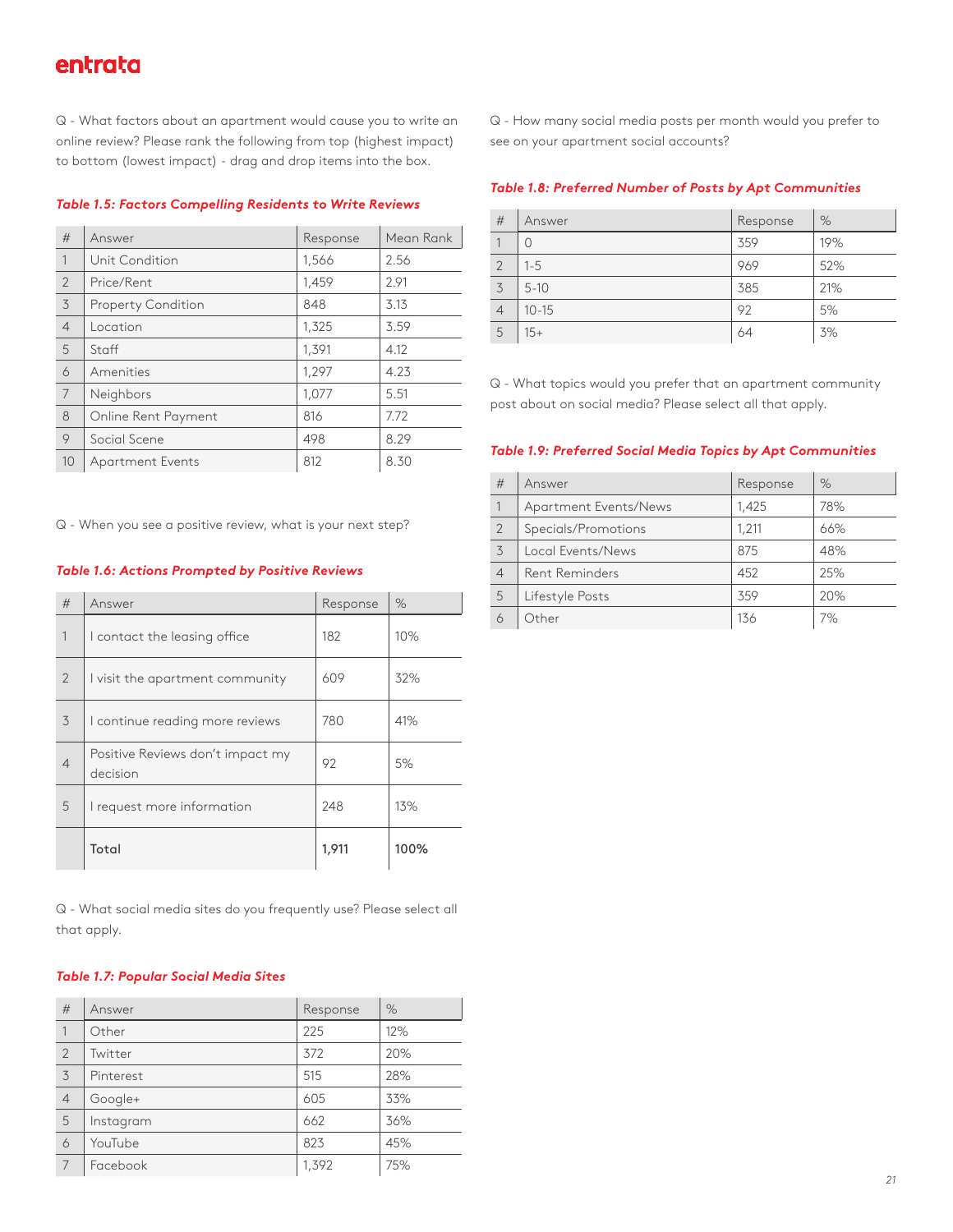Q - What factors about an apartment would cause you to write an online review? Please rank the following from top (highest impact) to bottom (lowest impact) - drag and drop items into the box.

| #              | Answer                    | Response | Mean Rank |
|----------------|---------------------------|----------|-----------|
| 1              | Unit Condition            | 1,566    | 2.56      |
| $\overline{2}$ | Price/Rent                | 1,459    | 2.91      |
| 3              | <b>Property Condition</b> | 848      | 3.13      |
| $\overline{4}$ | Location                  | 1,325    | 3.59      |
| 5              | Staff                     | 1,391    | 4.12      |
| 6              | Amenities                 | 1,297    | 4.23      |
| 7              | Neighbors                 | 1,077    | 5.51      |
| 8              | Online Rent Payment       | 816      | 7.72      |
| 9              | Social Scene              | 498      | 8.29      |
| 10             | Apartment Events          | 812      | 8.30      |

*Table 1.5: Factors Compelling Residents to Write Reviews*

Q - When you see a positive review, what is your next step?

#### *Table 1.6: Actions Prompted by Positive Reviews*

| #              | Answer                                       | Response | $\%$ |
|----------------|----------------------------------------------|----------|------|
| 1              | I contact the leasing office                 | 182      | 10%  |
| $\overline{2}$ | I visit the apartment community              | 609      | 32%  |
| 3              | I continue reading more reviews              | 780      | 41%  |
| $\overline{4}$ | Positive Reviews don't impact my<br>decision | 92       | 5%   |
| 5              | I request more information                   | 248      | 13%  |
|                | Total                                        | 1.91     | 100% |

Q - What social media sites do you frequently use? Please select all that apply.

#### *Table 1.7: Popular Social Media Sites*

| #              | Answer    | Response | %   |
|----------------|-----------|----------|-----|
| $\mathbf{1}$   | Other     | 225      | 12% |
| $\overline{2}$ | Twitter   | 372      | 20% |
| 3              | Pinterest | 515      | 28% |
| $\overline{4}$ | Google+   | 605      | 33% |
| 5              | Instagram | 662      | 36% |
| 6              | YouTube   | 823      | 45% |
| 7              | Facebook  | 1,392    | 75% |

Q - How many social media posts per month would you prefer to see on your apartment social accounts?

#### *Table 1.8: Preferred Number of Posts by Apt Communities*

| #              | Answer    | Response | %   |
|----------------|-----------|----------|-----|
|                | 0         | 359      | 19% |
| $\overline{2}$ | $1 - 5$   | 969      | 52% |
| 3              | $5 - 10$  | 385      | 21% |
| $\overline{4}$ | $10 - 15$ | 92       | 5%  |
| 5              | $15+$     | 64       | 3%  |

Q - What topics would you prefer that an apartment community post about on social media? Please select all that apply.

#### *Table 1.9: Preferred Social Media Topics by Apt Communities*

| #              | Answer                | Response | $\%$ |
|----------------|-----------------------|----------|------|
| $\mathbf{1}$   | Apartment Events/News | 1.425    | 78%  |
| 2              | Specials/Promotions   | 1.211    | 66%  |
| 3              | Local Events/News     | 875      | 48%  |
| $\overline{4}$ | <b>Rent Reminders</b> | 452      | 25%  |
| 5              | Lifestyle Posts       | 359      | 20%  |
| 6              | Other                 | 136      | 7%   |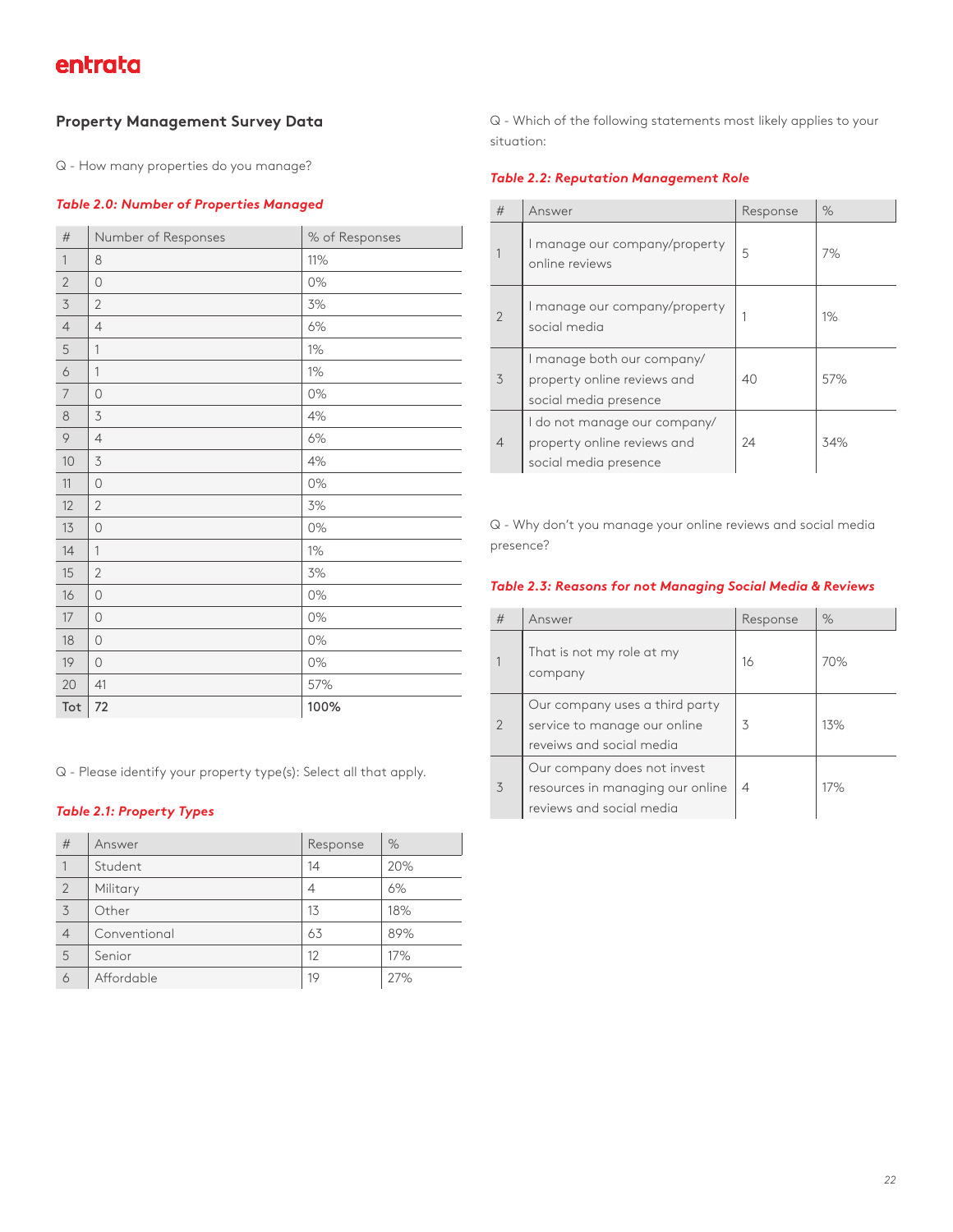#### **Property Management Survey Data**

Q - How many properties do you manage?

#### *Table 2.0: Number of Properties Managed*

| #              | Number of Responses | % of Responses |
|----------------|---------------------|----------------|
| $\mathbf{1}$   | 8                   | 11%            |
| $\overline{2}$ | $\circ$             | 0%             |
| $\mathfrak{Z}$ | $\overline{2}$      | 3%             |
| $\overline{4}$ | $\overline{4}$      | $6\%$          |
| 5              | 1                   | $1\%$          |
| 6              | $\mathbf{1}$        | 1%             |
| 7              | $\circ$             | 0%             |
| $\,8\,$        | $\mathfrak{Z}$      | 4%             |
| 9              | $\overline{4}$      | 6%             |
| 10             | $\mathfrak{Z}$      | $4\%$          |
| 11             | $\circ$             | 0%             |
| 12             | $\sqrt{2}$          | 3%             |
| 13             | $\bigcirc$          | $0\%$          |
| 14             | $\mathbf{1}$        | 1%             |
| 15             | $\overline{2}$      | 3%             |
| 16             | $\circ$             | 0%             |
| 17             | $\bigcirc$          | 0%             |
| 18             | $\circ$             | 0%             |
| 19             | $\circ$             | 0%             |
| 20             | 41                  | 57%            |
| Tot            | 72                  | 100%           |

Q - Please identify your property type(s): Select all that apply.

#### *Table 2.1: Property Types*

| #              | Answer       | Response | %   |
|----------------|--------------|----------|-----|
|                | Student      | 14       | 20% |
| $\overline{2}$ | Military     | 4        | 6%  |
| 3              | Other        | 13       | 18% |
| $\overline{4}$ | Conventional | 63       | 89% |
| 5              | Senior       | 12       | 17% |
| 6              | Affordable   | 19       | 27% |

Q - Which of the following statements most likely applies to your situation:

#### *Table 2.2: Reputation Management Role*

| #              | Answer                                                                               | Response | $\%$  |
|----------------|--------------------------------------------------------------------------------------|----------|-------|
|                | I manage our company/property<br>online reviews                                      | 5        | 7%    |
| $\overline{2}$ | I manage our company/property<br>social media                                        |          | $1\%$ |
| 3              | I manage both our company/<br>property online reviews and<br>social media presence   | 40       | 57%   |
| $\overline{4}$ | I do not manage our company/<br>property online reviews and<br>social media presence | 24       | 34%   |

Q - Why don't you manage your online reviews and social media presence?

#### *Table 2.3: Reasons for not Managing Social Media & Reviews*

| #              | Answer                                                                                      | Response | $\%$ |
|----------------|---------------------------------------------------------------------------------------------|----------|------|
|                | That is not my role at my<br>company                                                        | 16       | 70%  |
| $\overline{2}$ | Our company uses a third party<br>service to manage our online<br>reveiws and social media  | 3        | 13%  |
| 3              | Our company does not invest<br>resources in managing our online<br>reviews and social media | 4        | 17%  |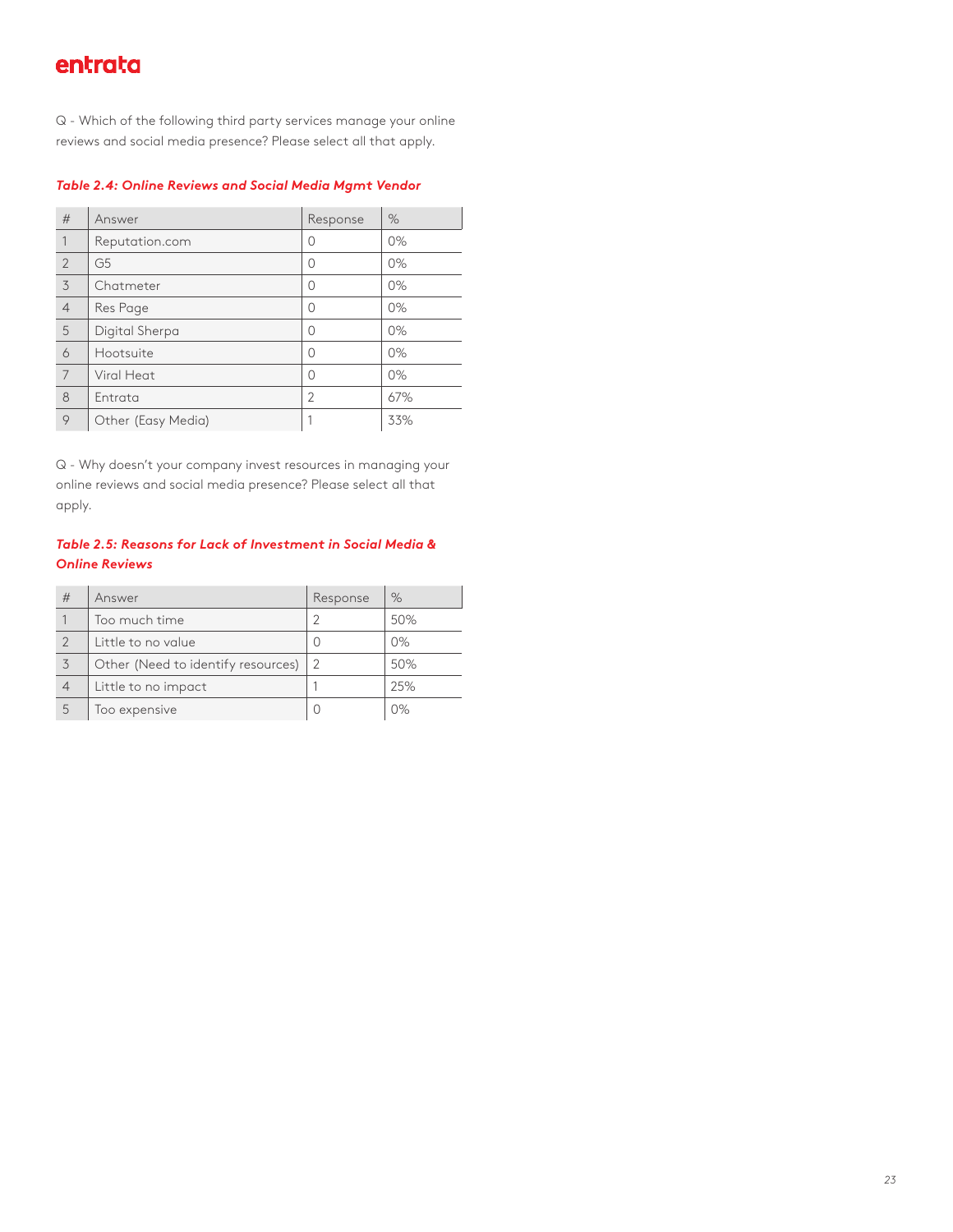Q - Which of the following third party services manage your online reviews and social media presence? Please select all that apply.

#### *Table 2.4: Online Reviews and Social Media Mgmt Vendor*

| #              | Answer             | Response       | $\%$  |
|----------------|--------------------|----------------|-------|
| 1              | Reputation.com     | Λ              | $0\%$ |
| $\overline{2}$ | G <sub>5</sub>     | O              | $0\%$ |
| 3              | Chatmeter          | Ω              | $0\%$ |
| $\overline{4}$ | Res Page           | Ω              | $0\%$ |
| 5              | Digital Sherpa     | Ω              | 0%    |
| 6              | Hootsuite          | Λ              | $0\%$ |
| 7              | Viral Heat         | Ω              | $0\%$ |
| 8              | Entrata            | $\overline{2}$ | 67%   |
| 9              | Other (Easy Media) |                | 33%   |

Q - Why doesn't your company invest resources in managing your online reviews and social media presence? Please select all that apply.

#### *Table 2.5: Reasons for Lack of Investment in Social Media & Online Reviews*

| # | Answer                             | Response | $\%$  |
|---|------------------------------------|----------|-------|
|   | Too much time                      |          | 50%   |
|   | Little to no value                 |          | 0%    |
|   | Other (Need to identify resources) | 2        | 50%   |
|   | Little to no impact                |          | 25%   |
| 5 | Too expensive                      |          | $0\%$ |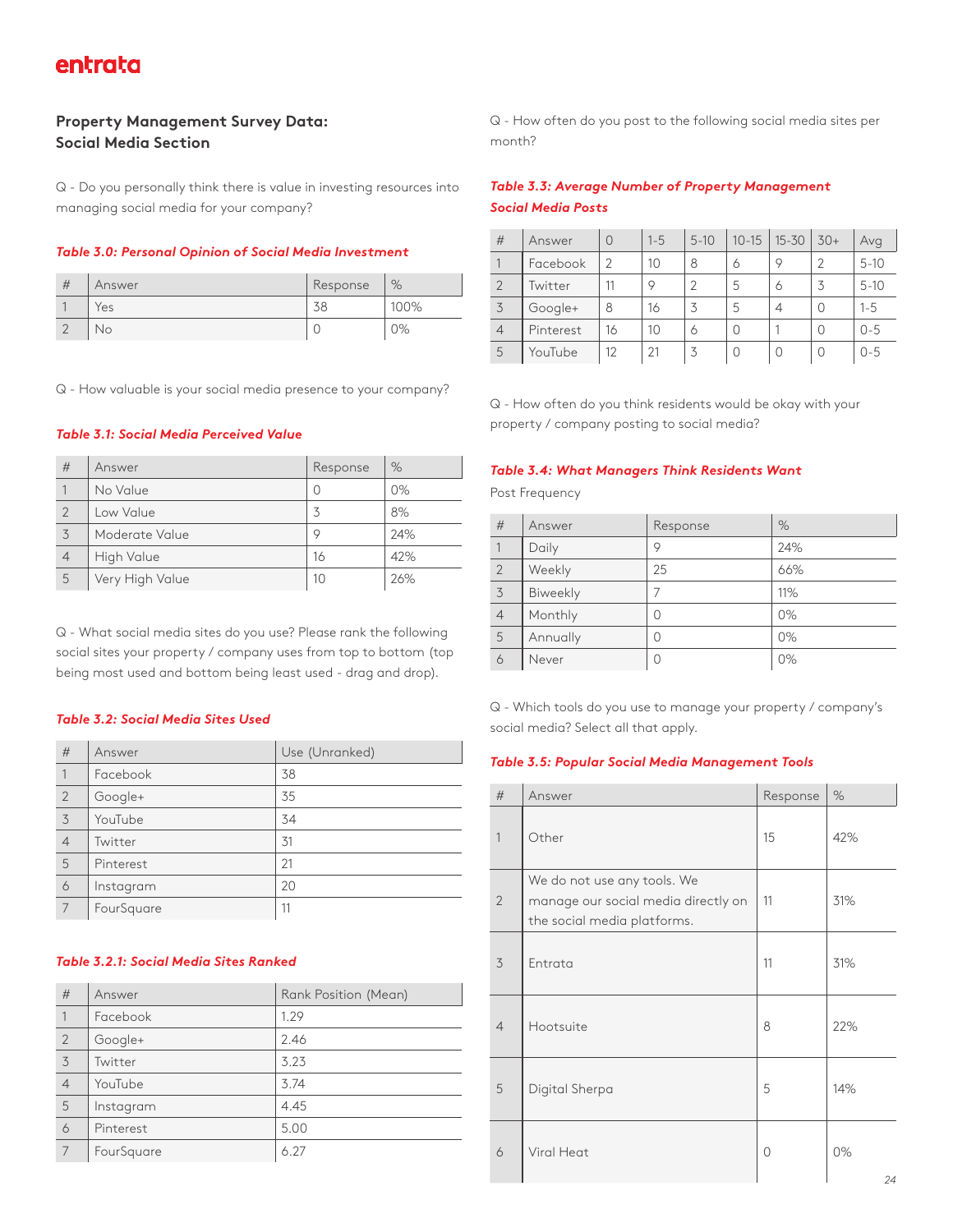#### **Property Management Survey Data: Social Media Section**

Q - Do you personally think there is value in investing resources into managing social media for your company?

#### *Table 3.0: Personal Opinion of Social Media Investment*

| # | Answer | Response | %    |
|---|--------|----------|------|
|   | 'es    |          | 100% |
|   | No     |          | 0%   |

Q - How valuable is your social media presence to your company?

#### *Table 3.1: Social Media Perceived Value*

| #              | Answer          | Response | $\%$  |
|----------------|-----------------|----------|-------|
|                | No Value        | Ω        | $0\%$ |
| $\overline{2}$ | Low Value       |          | 8%    |
| 3              | Moderate Value  | 9        | 24%   |
| $\overline{4}$ | High Value      | 16       | 42%   |
| 5              | Very High Value | 10       | 26%   |

Q - What social media sites do you use? Please rank the following social sites your property / company uses from top to bottom (top being most used and bottom being least used - drag and drop).

#### *Table 3.2: Social Media Sites Used*

| #              | Answer     | Use (Unranked) |
|----------------|------------|----------------|
| $\mathbf{1}$   | Facebook   | 38             |
| $\overline{2}$ | Google+    | 35             |
| 3              | YouTube    | 34             |
| $\overline{4}$ | Twitter    | 31             |
| 5              | Pinterest  | 21             |
| 6              | Instagram  | 20             |
| 7              | FourSquare | 11             |

#### *Table 3.2.1: Social Media Sites Ranked*

| #              | Answer     | Rank Position (Mean) |
|----------------|------------|----------------------|
| 1              | Facebook   | 1.29                 |
| $\overline{2}$ | Google+    | 2.46                 |
| 3              | Twitter    | 3.23                 |
| $\overline{4}$ | YouTube    | 3.74                 |
| 5              | Instagram  | 4.45                 |
| 6              | Pinterest  | 5.00                 |
| 7              | FourSquare | 6.27                 |

Q - How often do you post to the following social media sites per month?

#### *Table 3.3: Average Number of Property Management Social Media Posts*

| #              | Answer    | $\Omega$      | $1 - 5$ | $5 - 10$ | $10 - 15$ | $15 - 30$ | $30+$ | Avg      |
|----------------|-----------|---------------|---------|----------|-----------|-----------|-------|----------|
|                | Facebook  | $\mathcal{P}$ | 10      | 8        | 6         | 9         |       | $5 - 10$ |
| $\overline{2}$ | Twitter   | 11            | O       |          | 5         | 6         | 3     | $5 - 10$ |
| 3              | Google+   | 8             | 16      |          | 5         | 4         | Ω     | $1 - 5$  |
| $\overline{4}$ | Pinterest | 16            | 10      | 6        | Ω         |           | Ω     | $0 - 5$  |
| 5              | YouTube   | 12            | 21      |          | O         | 0         | U     | $0 - 5$  |

Q - How often do you think residents would be okay with your property / company posting to social media?

#### *Table 3.4: What Managers Think Residents Want*

Post Frequency

| #              | Answer   | Response | %     |
|----------------|----------|----------|-------|
|                | Daily    | 9        | 24%   |
| $\overline{2}$ | Weekly   | 25       | 66%   |
| 3              | Biweekly |          | 11%   |
| $\overline{4}$ | Monthly  | 0        | 0%    |
| 5              | Annually | 0        | $0\%$ |
| 6              | Never    | 0        | 0%    |

Q - Which tools do you use to manage your property / company's social media? Select all that apply.

#### *Table 3.5: Popular Social Media Management Tools*

| #              | Answer                                                                                            | Response | $\%$               |
|----------------|---------------------------------------------------------------------------------------------------|----------|--------------------|
| $\mathbf{1}$   | Other                                                                                             | 15       | 42%                |
| $\overline{2}$ | We do not use any tools. We<br>manage our social media directly on<br>the social media platforms. | 11       | 31%                |
| 3              | Entrata                                                                                           | 11       | 31%                |
| $\overline{4}$ | Hootsuite                                                                                         | 8        | 22%                |
| 5              | Digital Sherpa                                                                                    | 5        | 14%                |
| 6              | Viral Heat                                                                                        | 0        | $0\%$<br>$2\Delta$ |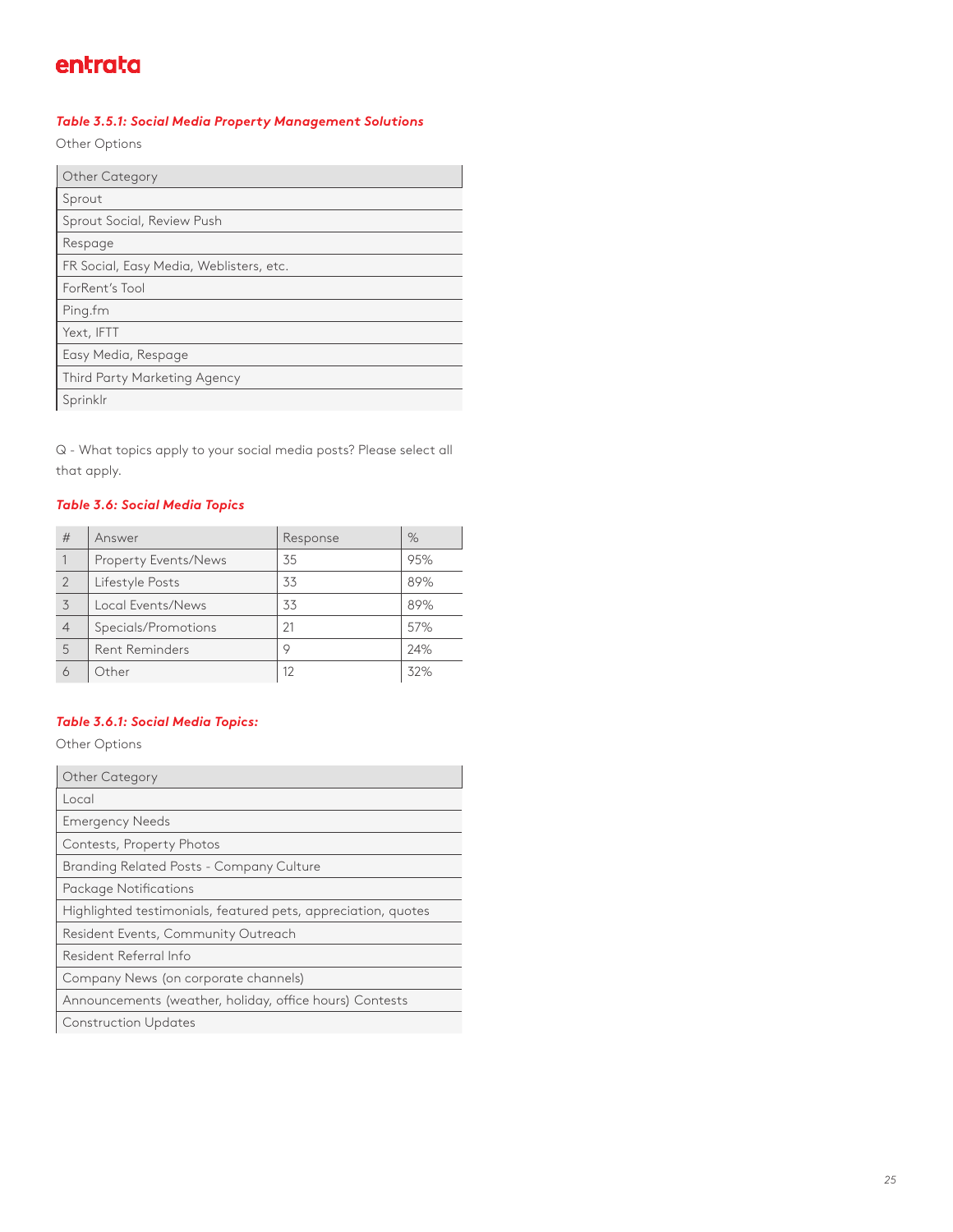#### *Table 3.5.1: Social Media Property Management Solutions*

Other Options

| Other Category                          |
|-----------------------------------------|
| Sprout                                  |
| Sprout Social, Review Push              |
| Respage                                 |
| FR Social, Easy Media, Weblisters, etc. |
| ForRent's Tool                          |
| Ping.fm                                 |
| Yext, IFTT                              |
| Easy Media, Respage                     |
| Third Party Marketing Agency            |
| Sprinklr                                |

Q - What topics apply to your social media posts? Please select all that apply.

#### *Table 3.6: Social Media Topics*

| #              | Answer                | Response | $\%$ |
|----------------|-----------------------|----------|------|
|                | Property Events/News  | 35       | 95%  |
| $\overline{2}$ | Lifestyle Posts       | 33       | 89%  |
| 3              | Local Events/News     | 33       | 89%  |
|                | Specials/Promotions   | 21       | 57%  |
| 5              | <b>Rent Reminders</b> | Q        | 24%  |
|                | Other                 |          | 32%  |

#### *Table 3.6.1: Social Media Topics:*

Other Options

| <b>Other Category</b>                                         |
|---------------------------------------------------------------|
| Local                                                         |
| <b>Emergency Needs</b>                                        |
| Contests, Property Photos                                     |
| Branding Related Posts - Company Culture                      |
| Package Notifications                                         |
| Highlighted testimonials, featured pets, appreciation, quotes |
| Resident Events, Community Outreach                           |
| Resident Referral Info                                        |
| Company News (on corporate channels)                          |
| Announcements (weather, holiday, office hours) Contests       |
|                                                               |

Construction Updates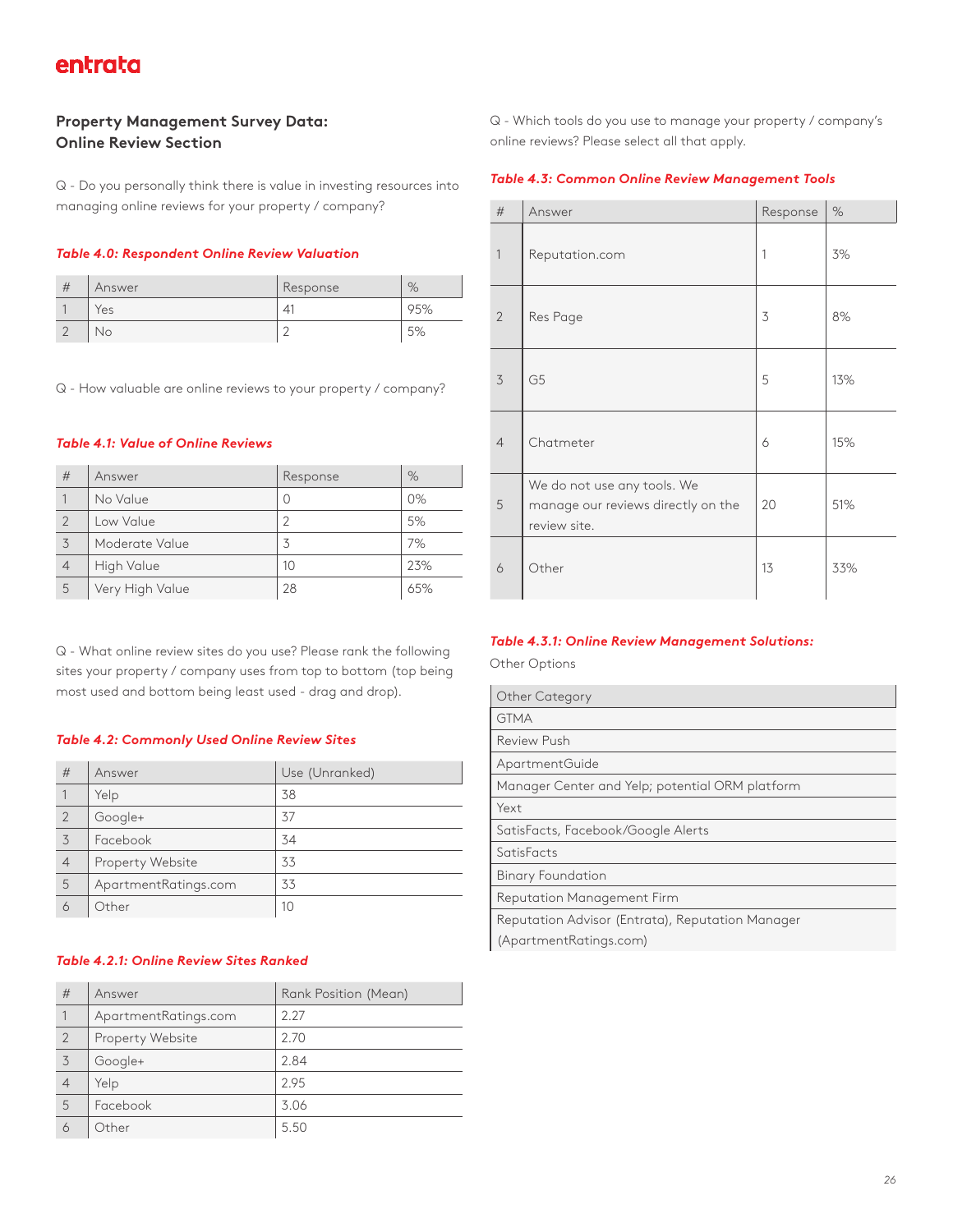#### **Property Management Survey Data: Online Review Section**

Q - Do you personally think there is value in investing resources into managing online reviews for your property / company?

#### *Table 4.0: Respondent Online Review Valuation*

| # | Answer | Response | $\%$ |
|---|--------|----------|------|
|   | 'es    | 41       | 95%  |
|   | No.    |          | EQ   |

Q - How valuable are online reviews to your property / company?

#### *Table 4.1: Value of Online Reviews*

| #              | Answer          | Response | %   |
|----------------|-----------------|----------|-----|
|                | No Value        | 0        | 0%  |
| $\overline{2}$ | Low Value       | 2        | 5%  |
| 3              | Moderate Value  | 3        | 7%  |
| $\overline{4}$ | High Value      | 10       | 23% |
| 5              | Very High Value | 28       | 65% |

Q - What online review sites do you use? Please rank the following sites your property / company uses from top to bottom (top being most used and bottom being least used - drag and drop).

#### *Table 4.2: Commonly Used Online Review Sites*

| #              | Answer               | Use (Unranked) |
|----------------|----------------------|----------------|
|                | Yelp                 | 38             |
| $\overline{2}$ | Google+              | 37             |
| 3              | Facebook             | 34             |
| $\overline{4}$ | Property Website     | 33             |
| 5              | ApartmentRatings.com | 33             |
| 6              | Other                | 10             |

#### *Table 4.2.1: Online Review Sites Ranked*

| #              | Answer               | Rank Position (Mean) |
|----------------|----------------------|----------------------|
| 1              | ApartmentRatings.com | 2.27                 |
| $\overline{2}$ | Property Website     | 2.70                 |
| 3              | Google+              | 2.84                 |
| $\overline{4}$ | Yelp                 | 2.95                 |
| 5              | Facebook             | 3.06                 |
| 6              | Other                | 5.50                 |

Q - Which tools do you use to manage your property / company's online reviews? Please select all that apply.

#### *Table 4.3: Common Online Review Management Tools*

| #                        | Answer                                                                            | Response | %   |
|--------------------------|-----------------------------------------------------------------------------------|----------|-----|
| $\overline{1}$           | Reputation.com                                                                    | 1        | 3%  |
| $\overline{2}$           | Res Page                                                                          | 3        | 8%  |
| $\overline{\mathcal{S}}$ | G <sub>5</sub>                                                                    | 5        | 13% |
| $\overline{4}$           | Chatmeter                                                                         | 6        | 15% |
| 5                        | We do not use any tools. We<br>manage our reviews directly on the<br>review site. | 20       | 51% |
| 6                        | Other                                                                             | 13       | 33% |

#### *Table 4.3.1: Online Review Management Solutions:*

Other Options

| <b>Other Category</b>                            |
|--------------------------------------------------|
| <b>GTMA</b>                                      |
| Review Push                                      |
| ApartmentGuide                                   |
| Manager Center and Yelp; potential ORM platform  |
| Yext                                             |
| SatisFacts, Facebook/Google Alerts               |
| SatisFacts                                       |
| <b>Binary Foundation</b>                         |
| Reputation Management Firm                       |
| Reputation Advisor (Entrata), Reputation Manager |
| (ApartmentRatings.com)                           |